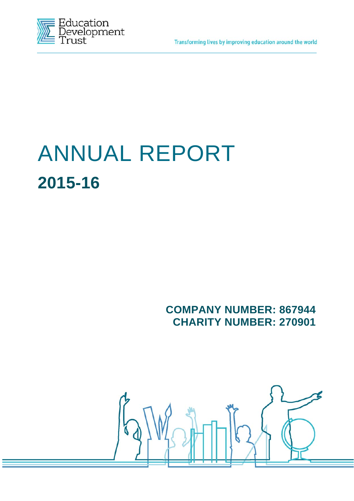Transforming lives by improving education around the world



# ANNUAL REPORT **2015-16**

# **COMPANY NUMBER: 867944 CHARITY NUMBER: 270901**

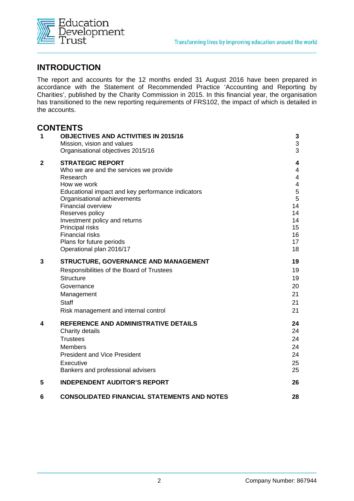

# **INTRODUCTION**

The report and accounts for the 12 months ended 31 August 2016 have been prepared in accordance with the Statement of Recommended Practice 'Accounting and Reporting by Charities', published by the Charity Commission in 2015. In this financial year, the organisation has transitioned to the new reporting requirements of FRS102, the impact of which is detailed in the accounts.

## **CONTENTS**

| 1            | <b>OBJECTIVES AND ACTIVITIES IN 2015/16</b><br>Mission, vision and values<br>Organisational objectives 2015/16                                                                                                                                                                                                                                                         | 3<br>3<br>3                                                                                                                                          |
|--------------|------------------------------------------------------------------------------------------------------------------------------------------------------------------------------------------------------------------------------------------------------------------------------------------------------------------------------------------------------------------------|------------------------------------------------------------------------------------------------------------------------------------------------------|
| $\mathbf{2}$ | <b>STRATEGIC REPORT</b><br>Who we are and the services we provide<br>Research<br>How we work<br>Educational impact and key performance indicators<br>Organisational achievements<br><b>Financial overview</b><br>Reserves policy<br>Investment policy and returns<br>Principal risks<br><b>Financial risks</b><br>Plans for future periods<br>Operational plan 2016/17 | 4<br>$\overline{\mathcal{A}}$<br>$\overline{\mathbf{4}}$<br>$\overline{\mathbf{4}}$<br>$\overline{5}$<br>5<br>14<br>14<br>14<br>15<br>16<br>17<br>18 |
| 3            | STRUCTURE, GOVERNANCE AND MANAGEMENT<br>Responsibilities of the Board of Trustees<br><b>Structure</b><br>Governance<br>Management<br><b>Staff</b><br>Risk management and internal control                                                                                                                                                                              | 19<br>19<br>19<br>20<br>21<br>21<br>21                                                                                                               |
| 4            | REFERENCE AND ADMINISTRATIVE DETAILS<br>Charity details<br><b>Trustees</b><br>Members<br><b>President and Vice President</b><br>Executive<br>Bankers and professional advisers                                                                                                                                                                                         | 24<br>24<br>24<br>24<br>24<br>25<br>25                                                                                                               |
| 5            | <b>INDEPENDENT AUDITOR'S REPORT</b>                                                                                                                                                                                                                                                                                                                                    | 26                                                                                                                                                   |
| 6            | <b>CONSOLIDATED FINANCIAL STATEMENTS AND NOTES</b>                                                                                                                                                                                                                                                                                                                     | 28                                                                                                                                                   |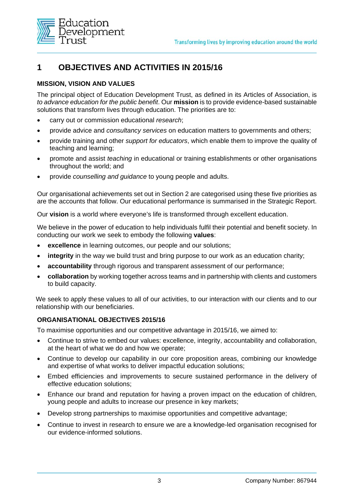

# **1 OBJECTIVES AND ACTIVITIES IN 2015/16**

## **MISSION, VISION AND VALUES**

The principal object of Education Development Trust, as defined in its Articles of Association, is *to advance education for the public benefit*. Our **mission** is to provide evidence-based sustainable solutions that transform lives through education. The priorities are to:

- carry out or commission educational *research*;
- provide advice and *consultancy services* on education matters to governments and others;
- provide training and other *support for educators*, which enable them to improve the quality of teaching and learning;
- promote and assist *teaching* in educational or training establishments or other organisations throughout the world; and
- provide *counselling and guidance* to young people and adults.

Our organisational achievements set out in Section 2 are categorised using these five priorities as are the accounts that follow. Our educational performance is summarised in the Strategic Report.

Our **vision** is a world where everyone's life is transformed through excellent education.

We believe in the power of education to help individuals fulfil their potential and benefit society. In conducting our work we seek to embody the following **values**:

- **excellence** in learning outcomes, our people and our solutions;
- **integrity** in the way we build trust and bring purpose to our work as an education charity;
- **accountability** through rigorous and transparent assessment of our performance;
- **collaboration** by working together across teams and in partnership with clients and customers to build capacity.

We seek to apply these values to all of our activities, to our interaction with our clients and to our relationship with our beneficiaries.

## **ORGANISATIONAL OBJECTIVES 2015/16**

To maximise opportunities and our competitive advantage in 2015/16, we aimed to:

- Continue to strive to embed our values: excellence, integrity, accountability and collaboration, at the heart of what we do and how we operate;
- Continue to develop our capability in our core proposition areas, combining our knowledge and expertise of what works to deliver impactful education solutions;
- Embed efficiencies and improvements to secure sustained performance in the delivery of effective education solutions;
- Enhance our brand and reputation for having a proven impact on the education of children, young people and adults to increase our presence in key markets;
- Develop strong partnerships to maximise opportunities and competitive advantage;
- Continue to invest in research to ensure we are a knowledge-led organisation recognised for our evidence-informed solutions.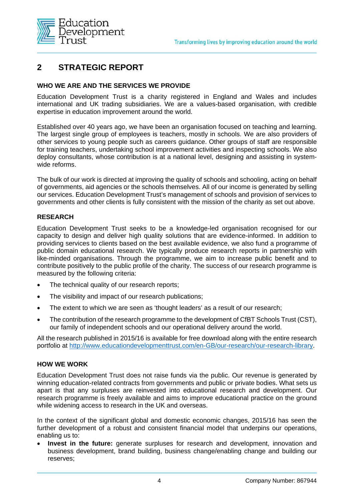

# **2 STRATEGIC REPORT**

## **WHO WE ARE AND THE SERVICES WE PROVIDE**

Education Development Trust is a charity registered in England and Wales and includes international and UK trading subsidiaries. We are a values-based organisation, with credible expertise in education improvement around the world.

Established over 40 years ago, we have been an organisation focused on teaching and learning. The largest single group of employees is teachers, mostly in schools. We are also providers of other services to young people such as careers guidance. Other groups of staff are responsible for training teachers, undertaking school improvement activities and inspecting schools. We also deploy consultants, whose contribution is at a national level, designing and assisting in systemwide reforms.

The bulk of our work is directed at improving the quality of schools and schooling, acting on behalf of governments, aid agencies or the schools themselves. All of our income is generated by selling our services. Education Development Trust's management of schools and provision of services to governments and other clients is fully consistent with the mission of the charity as set out above.

## **RESEARCH**

Education Development Trust seeks to be a knowledge-led organisation recognised for our capacity to design and deliver high quality solutions that are evidence-informed. In addition to providing services to clients based on the best available evidence, we also fund a programme of public domain educational research. We typically produce research reports in partnership with like-minded organisations. Through the programme, we aim to increase public benefit and to contribute positively to the public profile of the charity. The success of our research programme is measured by the following criteria:

- The technical quality of our research reports;
- The visibility and impact of our research publications;
- The extent to which we are seen as 'thought leaders' as a result of our research;
- The contribution of the research programme to the development of CfBT Schools Trust (CST), our family of independent schools and our operational delivery around the world.

All the research published in 2015/16 is available for free download along with the entire research portfolio at http://www.educationdevelopmenttrust.com/en-GB/our-research/our-research-library.

## **HOW WE WORK**

Education Development Trust does not raise funds via the public. Our revenue is generated by winning education-related contracts from governments and public or private bodies. What sets us apart is that any surpluses are reinvested into educational research and development. Our research programme is freely available and aims to improve educational practice on the ground while widening access to research in the UK and overseas.

In the context of the significant global and domestic economic changes, 2015/16 has seen the further development of a robust and consistent financial model that underpins our operations, enabling us to:

 **Invest in the future:** generate surpluses for research and development, innovation and business development, brand building, business change/enabling change and building our reserves;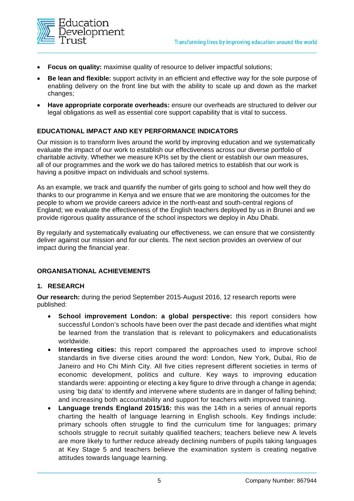

- **Focus on quality:** maximise quality of resource to deliver impactful solutions;
- **Be lean and flexible:** support activity in an efficient and effective way for the sole purpose of enabling delivery on the front line but with the ability to scale up and down as the market changes;
- **Have appropriate corporate overheads:** ensure our overheads are structured to deliver our legal obligations as well as essential core support capability that is vital to success.

## **EDUCATIONAL IMPACT AND KEY PERFORMANCE INDICATORS**

Our mission is to transform lives around the world by improving education and we systematically evaluate the impact of our work to establish our effectiveness across our diverse portfolio of charitable activity. Whether we measure KPIs set by the client or establish our own measures, all of our programmes and the work we do has tailored metrics to establish that our work is having a positive impact on individuals and school systems.

As an example, we track and quantify the number of girls going to school and how well they do thanks to our programme in Kenya and we ensure that we are monitoring the outcomes for the people to whom we provide careers advice in the north-east and south-central regions of England; we evaluate the effectiveness of the English teachers deployed by us in Brunei and we provide rigorous quality assurance of the school inspectors we deploy in Abu Dhabi.

By regularly and systematically evaluating our effectiveness, we can ensure that we consistently deliver against our mission and for our clients. The next section provides an overview of our impact during the financial year.

## **ORGANISATIONAL ACHIEVEMENTS**

## **1. RESEARCH**

**Our research:** during the period September 2015-August 2016, 12 research reports were published:

- **School improvement London: a global perspective:** this report considers how successful London's schools have been over the past decade and identifies what might be learned from the translation that is relevant to policymakers and educationalists worldwide.
- **Interesting cities:** this report compared the approaches used to improve school standards in five diverse cities around the word: London, New York, Dubai, Rio de Janeiro and Ho Chi Minh City. All five cities represent different societies in terms of economic development, politics and culture. Key ways to improving education standards were: appointing or electing a key figure to drive through a change in agenda; using 'big data' to identify and intervene where students are in danger of falling behind; and increasing both accountability and support for teachers with improved training.
- **Language trends England 2015/16:** this was the 14th in a series of annual reports charting the health of language learning in English schools. Key findings include: primary schools often struggle to find the curriculum time for languages; primary schools struggle to recruit suitably qualified teachers; teachers believe new A levels are more likely to further reduce already declining numbers of pupils taking languages at Key Stage 5 and teachers believe the examination system is creating negative attitudes towards language learning.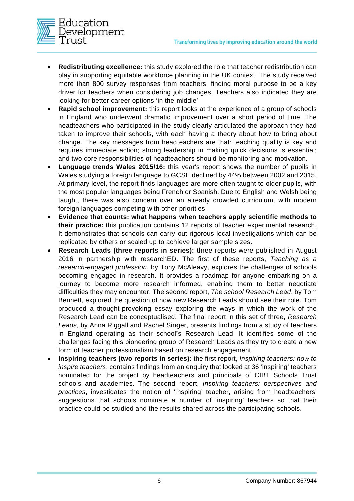

- **Redistributing excellence:** this study explored the role that teacher redistribution can play in supporting equitable workforce planning in the UK context. The study received more than 800 survey responses from teachers, finding moral purpose to be a key driver for teachers when considering job changes. Teachers also indicated they are looking for better career options 'in the middle'.
- **Rapid school improvement:** this report looks at the experience of a group of schools in England who underwent dramatic improvement over a short period of time. The headteachers who participated in the study clearly articulated the approach they had taken to improve their schools, with each having a theory about how to bring about change. The key messages from headteachers are that: teaching quality is key and requires immediate action; strong leadership in making quick decisions is essential; and two core responsibilities of headteachers should be monitoring and motivation.
- **Language trends Wales 2015/16:** this year's report shows the number of pupils in Wales studying a foreign language to GCSE declined by 44% between 2002 and 2015. At primary level, the report finds languages are more often taught to older pupils, with the most popular languages being French or Spanish. Due to English and Welsh being taught, there was also concern over an already crowded curriculum, with modern foreign languages competing with other priorities.
- **Evidence that counts: what happens when teachers apply scientific methods to their practice:** this publication contains 12 reports of teacher experimental research. It demonstrates that schools can carry out rigorous local investigations which can be replicated by others or scaled up to achieve larger sample sizes.
- **Research Leads (three reports in series):** three reports were published in August 2016 in partnership with researchED. The first of these reports, *Teaching as a research-engaged profession*, by Tony McAleavy, explores the challenges of schools becoming engaged in research. It provides a roadmap for anyone embarking on a journey to become more research informed, enabling them to better negotiate difficulties they may encounter. The second report, *The school Research Lead*, by Tom Bennett, explored the question of how new Research Leads should see their role. Tom produced a thought-provoking essay exploring the ways in which the work of the Research Lead can be conceptualised. The final report in this set of three, *Research Leads*, by Anna Riggall and Rachel Singer, presents findings from a study of teachers in England operating as their school's Research Lead. It identifies some of the challenges facing this pioneering group of Research Leads as they try to create a new form of teacher professionalism based on research engagement.
- **Inspiring teachers (two reports in series):** the first report, *Inspiring teachers: how to inspire teachers*, contains findings from an enquiry that looked at 36 'inspiring' teachers nominated for the project by headteachers and principals of CfBT Schools Trust schools and academies. The second report, *Inspiring teachers: perspectives and practices*, investigates the notion of 'inspiring' teacher, arising from headteachers' suggestions that schools nominate a number of 'inspiring' teachers so that their practice could be studied and the results shared across the participating schools.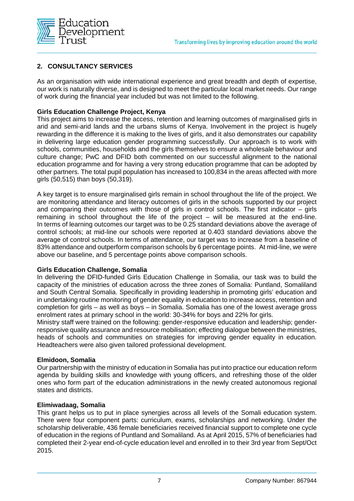

## **2. CONSULTANCY SERVICES**

As an organisation with wide international experience and great breadth and depth of expertise, our work is naturally diverse, and is designed to meet the particular local market needs. Our range of work during the financial year included but was not limited to the following.

## **Girls Education Challenge Project, Kenya**

This project aims to increase the access, retention and learning outcomes of marginalised girls in arid and semi-arid lands and the urbans slums of Kenya. Involvement in the project is hugely rewarding in the difference it is making to the lives of girls, and it also demonstrates our capability in delivering large education gender programming successfully. Our approach is to work with schools, communities, households and the girls themselves to ensure a wholesale behaviour and culture change; PwC and DFID both commented on our successful alignment to the national education programme and for having a very strong education programme that can be adopted by other partners. The total pupil population has increased to 100,834 in the areas affected with more girls (50,515) than boys (50,319).

A key target is to ensure marginalised girls remain in school throughout the life of the project. We are monitoring attendance and literacy outcomes of girls in the schools supported by our project and comparing their outcomes with those of girls in control schools. The first indicator – girls remaining in school throughout the life of the project – will be measured at the end-line. In terms of learning outcomes our target was to be 0.25 standard deviations above the average of control schools; at mid-line our schools were reported at 0.403 standard deviations above the average of control schools. In terms of attendance, our target was to increase from a baseline of 83% attendance and outperform comparison schools by 6 percentage points. At mid-line, we were above our baseline, and 5 percentage points above comparison schools.

## **Girls Education Challenge, Somalia**

In delivering the DFID-funded Girls Education Challenge in Somalia, our task was to build the capacity of the ministries of education across the three zones of Somalia: Puntland, Somaliland and South Central Somalia. Specifically in providing leadership in promoting girls' education and in undertaking routine monitoring of gender equality in education to increase access, retention and completion for girls – as well as boys – in Somalia. Somalia has one of the lowest average gross enrolment rates at primary school in the world: 30-34% for boys and 22% for girls.

Ministry staff were trained on the following: gender-responsive education and leadership; genderresponsive quality assurance and resource mobilisation; effecting dialogue between the ministries, heads of schools and communities on strategies for improving gender equality in education. Headteachers were also given tailored professional development.

## **Elmidoon, Somalia**

Our partnership with the ministry of education in Somalia has put into practice our education reform agenda by building skills and knowledge with young officers, and refreshing those of the older ones who form part of the education administrations in the newly created autonomous regional states and districts.

#### **Elimiwadaag, Somalia**

This grant helps us to put in place synergies across all levels of the Somali education system. There were four component parts: curriculum, exams, scholarships and networking. Under the scholarship deliverable, 436 female beneficiaries received financial support to complete one cycle of education in the regions of Puntland and Somaliland. As at April 2015, 57% of beneficiaries had completed their 2-year end-of-cycle education level and enrolled in to their 3rd year from Sept/Oct 2015.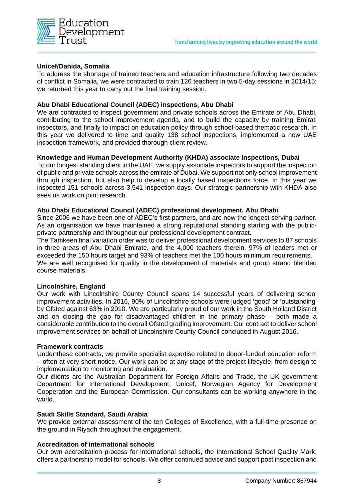

## **Unicef/Danida, Somalia**

To address the shortage of trained teachers and education infrastructure following two decades of conflict in Somalia, we were contracted to train 126 teachers in two 5-day sessions in 2014/15; we returned this year to carry out the final training session.

## **Abu Dhabi Educational Council (ADEC) inspections, Abu Dhabi**

We are contracted to inspect government and private schools across the Emirate of Abu Dhabi, contributing to the school improvement agenda, and to build the capacity by training Emirati inspectors, and finally to impact on education policy through school-based thematic research. In this year we delivered to time and quality 138 school inspections, implemented a new UAE inspection framework, and provided thorough client review.

### **Knowledge and Human Development Authority (KHDA) associate inspections, Dubai**

To our longest standing client in the UAE, we supply associate inspectors to support the inspection of public and private schools across the emirate of Dubai. We support not only school improvement through inspection, but also help to develop a locally based inspections force. In this year we inspected 151 schools across 3,541 inspection days. Our strategic partnership with KHDA also sees us work on joint research.

### **Abu Dhabi Educational Council (ADEC) professional development, Abu Dhabi**

Since 2006 we have been one of ADEC's first partners, and are now the longest serving partner. As an organisation we have maintained a strong reputational standing starting with the publicprivate partnership and throughout our professional development contract.

The Tamkeen final variation order was to deliver professional development services to 87 schools in three areas of Abu Dhabi Emirate, and the 4,000 teachers therein. 97% of leaders met or exceeded the 150 hours target and 93% of teachers met the 100 hours minimum requirements. We are well recognised for quality in the development of materials and group strand blended course materials.

#### **Lincolnshire, England**

Our work with Lincolnshire County Council spans 14 successful years of delivering school improvement activities. In 2016, 90% of Lincolnshire schools were judged 'good' or 'outstanding' by Ofsted against 63% in 2010. We are particularly proud of our work in the South Holland District and on closing the gap for disadvantaged children in the primary phase – both made a considerable contribution to the overall Ofsted grading improvement. Our contract to deliver school improvement services on behalf of Lincolnshire County Council concluded in August 2016.

#### **Framework contracts**

Under these contracts, we provide specialist expertise related to donor-funded education reform – often at very short notice. Our work can be at any stage of the project lifecycle, from design to implementation to monitoring and evaluation.

Our clients are the Australian Department for Foreign Affairs and Trade, the UK government Department for International Development, Unicef, Norwegian Agency for Development Cooperation and the European Commission. Our consultants can be working anywhere in the world.

#### **Saudi Skills Standard, Saudi Arabia**

We provide external assessment of the ten Colleges of Excellence, with a full-time presence on the ground in Riyadh throughout the engagement.

#### **Accreditation of international schools**

Our own accreditation process for international schools, the International School Quality Mark, offers a partnership model for schools. We offer continued advice and support post inspection and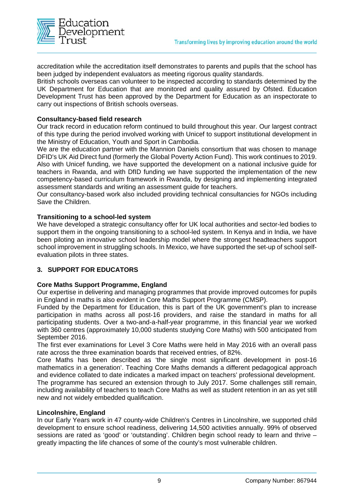

accreditation while the accreditation itself demonstrates to parents and pupils that the school has been judged by independent evaluators as meeting rigorous quality standards.

British schools overseas can volunteer to be inspected according to standards determined by the UK Department for Education that are monitored and quality assured by Ofsted. Education Development Trust has been approved by the Department for Education as an inspectorate to carry out inspections of British schools overseas.

## **Consultancy-based field research**

Our track record in education reform continued to build throughout this year. Our largest contract of this type during the period involved working with Unicef to support institutional development in the Ministry of Education, Youth and Sport in Cambodia.

We are the education partner with the Mannion Daniels consortium that was chosen to manage DFID's UK Aid Direct fund (formerly the Global Poverty Action Fund). This work continues to 2019. Also with Unicef funding, we have supported the development on a national inclusive guide for teachers in Rwanda, and with DfID funding we have supported the implementation of the new competency-based curriculum framework in Rwanda, by designing and implementing integrated assessment standards and writing an assessment guide for teachers.

Our consultancy-based work also included providing technical consultancies for NGOs including Save the Children.

### **Transitioning to a school-led system**

We have developed a strategic consultancy offer for UK local authorities and sector-led bodies to support them in the ongoing transitioning to a school-led system. In Kenya and in India, we have been piloting an innovative school leadership model where the strongest headteachers support school improvement in struggling schools. In Mexico, we have supported the set-up of school selfevaluation pilots in three states.

## **3. SUPPORT FOR EDUCATORS**

#### **Core Maths Support Programme, England**

Our expertise in delivering and managing programmes that provide improved outcomes for pupils in England in maths is also evident in Core Maths Support Programme (CMSP).

Funded by the Department for Education, this is part of the UK government's plan to increase participation in maths across all post-16 providers, and raise the standard in maths for all participating students. Over a two-and-a-half-year programme, in this financial year we worked with 360 centres (approximately 10,000 students studying Core Maths) with 500 anticipated from September 2016.

The first ever examinations for Level 3 Core Maths were held in May 2016 with an overall pass rate across the three examination boards that received entries, of 82%.

Core Maths has been described as 'the single most significant development in post-16 mathematics in a generation'. Teaching Core Maths demands a different pedagogical approach and evidence collated to date indicates a marked impact on teachers' professional development. The programme has secured an extension through to July 2017. Some challenges still remain, including availability of teachers to teach Core Maths as well as student retention in an as yet still new and not widely embedded qualification.

#### **Lincolnshire, England**

In our Early Years work in 47 county-wide Children's Centres in Lincolnshire, we supported child development to ensure school readiness, delivering 14,500 activities annually. 99% of observed sessions are rated as 'good' or 'outstanding'. Children begin school ready to learn and thrive – greatly impacting the life chances of some of the county's most vulnerable children.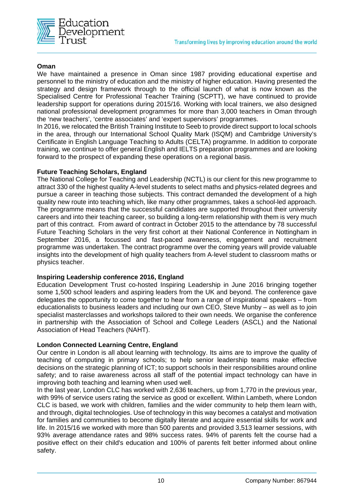

## **Oman**

We have maintained a presence in Oman since 1987 providing educational expertise and personnel to the ministry of education and the ministry of higher education. Having presented the strategy and design framework through to the official launch of what is now known as the Specialised Centre for Professional Teacher Training (SCPTT), we have continued to provide leadership support for operations during 2015/16. Working with local trainers, we also designed national professional development programmes for more than 3,000 teachers in Oman through the 'new teachers', 'centre associates' and 'expert supervisors' programmes.

In 2016, we relocated the British Training Institute to Seeb to provide direct support to local schools in the area, through our International School Quality Mark (ISQM) and Cambridge University's Certificate in English Language Teaching to Adults (CELTA) programme. In addition to corporate training, we continue to offer general English and IELTS preparation programmes and are looking forward to the prospect of expanding these operations on a regional basis.

## **Future Teaching Scholars, England**

The National College for Teaching and Leadership (NCTL) is our client for this new programme to attract 330 of the highest quality A-level students to select maths and physics-related degrees and pursue a career in teaching those subjects. This contract demanded the development of a high quality new route into teaching which, like many other programmes, takes a school-led approach. The programme means that the successful candidates are supported throughout their university careers and into their teaching career, so building a long-term relationship with them is very much part of this contract. From award of contract in October 2015 to the attendance by 78 successful Future Teaching Scholars in the very first cohort at their National Conference in Nottingham in September 2016, a focussed and fast-paced awareness, engagement and recruitment programme was undertaken. The contract programme over the coming years will provide valuable insights into the development of high quality teachers from A-level student to classroom maths or physics teacher.

## **Inspiring Leadership conference 2016, England**

Education Development Trust co-hosted Inspiring Leadership in June 2016 bringing together some 1,500 school leaders and aspiring leaders from the UK and beyond. The conference gave delegates the opportunity to come together to hear from a range of inspirational speakers – from educationalists to business leaders and including our own CEO, Steve Munby – as well as to join specialist masterclasses and workshops tailored to their own needs. We organise the conference in partnership with the Association of School and College Leaders (ASCL) and the National Association of Head Teachers (NAHT).

## **London Connected Learning Centre, England**

Our centre in London is all about learning with technology. Its aims are to improve the quality of teaching of computing in primary schools; to help senior leadership teams make effective decisions on the strategic planning of ICT; to support schools in their responsibilities around online safety; and to raise awareness across all staff of the potential impact technology can have in improving both teaching and learning when used well.

In the last year, London CLC has worked with 2,636 teachers, up from 1,770 in the previous year, with 99% of service users rating the service as good or excellent. Within Lambeth, where London CLC is based, we work with children, families and the wider community to help them learn with, and through, digital technologies. Use of technology in this way becomes a catalyst and motivation for families and communities to become digitally literate and acquire essential skills for work and life. In 2015/16 we worked with more than 500 parents and provided 3,513 learner sessions, with 93% average attendance rates and 98% success rates. 94% of parents felt the course had a positive effect on their child's education and 100% of parents felt better informed about online safety.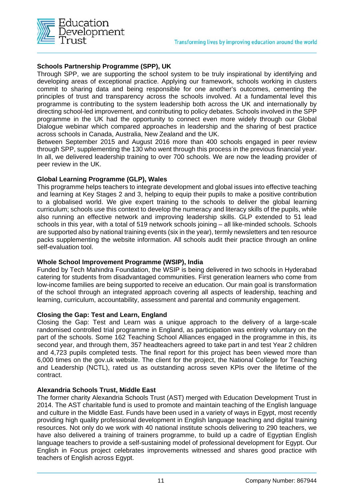

### **Schools Partnership Programme (SPP), UK**

Through SPP, we are supporting the school system to be truly inspirational by identifying and developing areas of exceptional practice. Applying our framework, schools working in clusters commit to sharing data and being responsible for one another's outcomes, cementing the principles of trust and transparency across the schools involved. At a fundamental level this programme is contributing to the system leadership both across the UK and internationally by directing school-led improvement, and contributing to policy debates. Schools involved in the SPP programme in the UK had the opportunity to connect even more widely through our Global Dialogue webinar which compared approaches in leadership and the sharing of best practice across schools in Canada, Australia, New Zealand and the UK.

Between September 2015 and August 2016 more than 400 schools engaged in peer review through SPP, supplementing the 130 who went through this process in the previous financial year. In all, we delivered leadership training to over 700 schools. We are now the leading provider of peer review in the UK.

## **Global Learning Programme (GLP), Wales**

This programme helps teachers to integrate development and global issues into effective teaching and learning at Key Stages 2 and 3, helping to equip their pupils to make a positive contribution to a globalised world. We give expert training to the schools to deliver the global learning curriculum; schools use this context to develop the numeracy and literacy skills of the pupils, while also running an effective network and improving leadership skills. GLP extended to 51 lead schools in this year, with a total of 519 network schools joining – all like-minded schools. Schools are supported also by national training events (six in the year), termly newsletters and ten resource packs supplementing the website information. All schools audit their practice through an online self-evaluation tool.

## **Whole School Improvement Programme (WSIP), India**

Funded by Tech Mahindra Foundation, the WSIP is being delivered in two schools in Hyderabad catering for students from disadvantaged communities. First generation learners who come from low-income families are being supported to receive an education. Our main goal is transformation of the school through an integrated approach covering all aspects of leadership, teaching and learning, curriculum, accountability, assessment and parental and community engagement.

## **Closing the Gap: Test and Learn, England**

Closing the Gap: Test and Learn was a unique approach to the delivery of a large-scale randomised controlled trial programme in England, as participation was entirely voluntary on the part of the schools. Some 162 Teaching School Alliances engaged in the programme in this, its second year, and through them, 357 headteachers agreed to take part in and test Year 2 children and 4,723 pupils completed tests. The final report for this project has been viewed more than 6,000 times on the gov.uk website. The client for the project, the National College for Teaching and Leadership (NCTL), rated us as outstanding across seven KPIs over the lifetime of the contract.

## **Alexandria Schools Trust, Middle East**

The former charity Alexandria Schools Trust (AST) merged with Education Development Trust in 2014. The AST charitable fund is used to promote and maintain teaching of the English language and culture in the Middle East. Funds have been used in a variety of ways in Egypt, most recently providing high quality professional development in English language teaching and digital training resources. Not only do we work with 40 national institute schools delivering to 290 teachers, we have also delivered a training of trainers programme, to build up a cadre of Egyptian English language teachers to provide a self-sustaining model of professional development for Egypt. Our English in Focus project celebrates improvements witnessed and shares good practice with teachers of English across Egypt.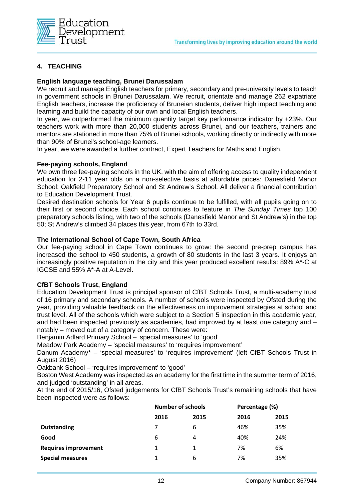

## **4. TEACHING**

### **English language teaching, Brunei Darussalam**

We recruit and manage English teachers for primary, secondary and pre-university levels to teach in government schools in Brunei Darussalam. We recruit, orientate and manage 262 expatriate English teachers, increase the proficiency of Bruneian students, deliver high impact teaching and learning and build the capacity of our own and local English teachers.

In year, we outperformed the minimum quantity target key performance indicator by  $+23%$ . Our teachers work with more than 20,000 students across Brunei, and our teachers, trainers and mentors are stationed in more than 75% of Brunei schools, working directly or indirectly with more than 90% of Brunei's school-age learners.

In year, we were awarded a further contract, Expert Teachers for Maths and English.

### **Fee-paying schools, England**

We own three fee-paying schools in the UK, with the aim of offering access to quality independent education for 2-11 year olds on a non-selective basis at affordable prices: Danesfield Manor School; Oakfield Preparatory School and St Andrew's School. All deliver a financial contribution to Education Development Trust.

Desired destination schools for Year 6 pupils continue to be fulfilled, with all pupils going on to their first or second choice. Each school continues to feature in *The Sunday Times* top 100 preparatory schools listing, with two of the schools (Danesfield Manor and St Andrew's) in the top 50; St Andrew's climbed 34 places this year, from 67th to 33rd.

### **The International School of Cape Town, South Africa**

Our fee-paying school in Cape Town continues to grow: the second pre-prep campus has increased the school to 450 students, a growth of 80 students in the last 3 years. It enjoys an increasingly positive reputation in the city and this year produced excellent results: 89% A\*-C at IGCSE and 55% A\*-A at A-Level.

## **CfBT Schools Trust, England**

Education Development Trust is principal sponsor of CfBT Schools Trust, a multi-academy trust of 16 primary and secondary schools. A number of schools were inspected by Ofsted during the year, providing valuable feedback on the effectiveness on improvement strategies at school and trust level. All of the schools which were subject to a Section 5 inspection in this academic year, and had been inspected previously as academies, had improved by at least one category and – notably – moved out of a category of concern. These were:

Benjamin Adlard Primary School – 'special measures' to 'good'

Meadow Park Academy – 'special measures' to 'requires improvement'

Danum Academy\* – 'special measures' to 'requires improvement' (left CfBT Schools Trust in August 2016)

Oakbank School – 'requires improvement' to 'good'

Boston West Academy was inspected as an academy for the first time in the summer term of 2016, and judged 'outstanding' in all areas.

At the end of 2015/16, Ofsted judgements for CfBT Schools Trust's remaining schools that have been inspected were as follows:

|                             | <b>Number of schools</b> |      | Percentage (%) |      |
|-----------------------------|--------------------------|------|----------------|------|
|                             | 2016                     | 2015 | 2016           | 2015 |
| <b>Outstanding</b>          | 7                        | 6    | 46%            | 35%  |
| Good                        | 6                        | 4    | 40%            | 24%  |
| <b>Requires improvement</b> | 1                        | 1    | 7%             | 6%   |
| <b>Special measures</b>     | 1                        | 6    | 7%             | 35%  |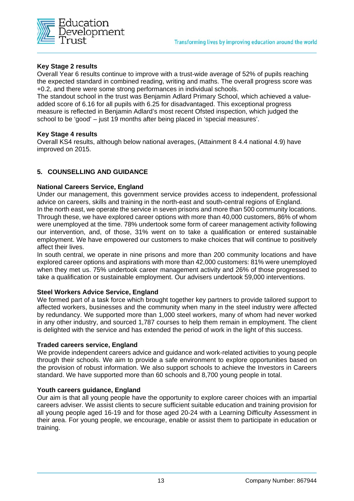

## **Key Stage 2 results**

Overall Year 6 results continue to improve with a trust-wide average of 52% of pupils reaching the expected standard in combined reading, writing and maths. The overall progress score was +0.2, and there were some strong performances in individual schools.

The standout school in the trust was Benjamin Adlard Primary School, which achieved a valueadded score of 6.16 for all pupils with 6.25 for disadvantaged. This exceptional progress measure is reflected in Benjamin Adlard's most recent Ofsted inspection, which judged the school to be 'good' – just 19 months after being placed in 'special measures'.

## **Key Stage 4 results**

Overall KS4 results, although below national averages, (Attainment 8 4.4 national 4.9) have improved on 2015.

## **5. COUNSELLING AND GUIDANCE**

## **National Careers Service, England**

Under our management, this government service provides access to independent, professional advice on careers, skills and training in the north-east and south-central regions of England. In the north east, we operate the service in seven prisons and more than 500 community locations. Through these, we have explored career options with more than 40,000 customers, 86% of whom were unemployed at the time. 78% undertook some form of career management activity following our intervention, and, of those, 31% went on to take a qualification or entered sustainable employment. We have empowered our customers to make choices that will continue to positively affect their lives.

In south central, we operate in nine prisons and more than 200 community locations and have explored career options and aspirations with more than 42,000 customers: 81% were unemployed when they met us. 75% undertook career management activity and 26% of those progressed to take a qualification or sustainable employment. Our advisers undertook 59,000 interventions.

## **Steel Workers Advice Service, England**

We formed part of a task force which brought together key partners to provide tailored support to affected workers, businesses and the community when many in the steel industry were affected by redundancy. We supported more than 1,000 steel workers, many of whom had never worked in any other industry, and sourced 1,787 courses to help them remain in employment. The client is delighted with the service and has extended the period of work in the light of this success.

## **Traded careers service, England**

We provide independent careers advice and guidance and work-related activities to young people through their schools. We aim to provide a safe environment to explore opportunities based on the provision of robust information. We also support schools to achieve the Investors in Careers standard. We have supported more than 60 schools and 8,700 young people in total.

## **Youth careers guidance, England**

Our aim is that all young people have the opportunity to explore career choices with an impartial careers adviser. We assist clients to secure sufficient suitable education and training provision for all young people aged 16-19 and for those aged 20-24 with a Learning Difficulty Assessment in their area. For young people, we encourage, enable or assist them to participate in education or training.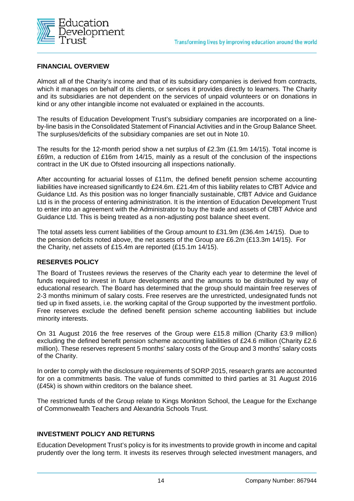

#### **FINANCIAL OVERVIEW**

Almost all of the Charity's income and that of its subsidiary companies is derived from contracts, which it manages on behalf of its clients, or services it provides directly to learners. The Charity and its subsidiaries are not dependent on the services of unpaid volunteers or on donations in kind or any other intangible income not evaluated or explained in the accounts.

The results of Education Development Trust's subsidiary companies are incorporated on a lineby-line basis in the Consolidated Statement of Financial Activities and in the Group Balance Sheet. The surpluses/deficits of the subsidiary companies are set out in Note 10.

The results for the 12-month period show a net surplus of  $£2.3m$   $£1.9m$   $14/15$ ). Total income is £69m, a reduction of £16m from 14/15, mainly as a result of the conclusion of the inspections contract in the UK due to Ofsted insourcing all inspections nationally.

After accounting for actuarial losses of £11m, the defined benefit pension scheme accounting liabilities have increased significantly to £24.6m. £21.4m of this liability relates to CfBT Advice and Guidance Ltd. As this position was no longer financially sustainable, CfBT Advice and Guidance Ltd is in the process of entering administration. It is the intention of Education Development Trust to enter into an agreement with the Administrator to buy the trade and assets of CfBT Advice and Guidance Ltd. This is being treated as a non-adjusting post balance sheet event.

The total assets less current liabilities of the Group amount to £31.9m (£36.4m 14/15). Due to the pension deficits noted above, the net assets of the Group are £6.2m (£13.3m 14/15). For the Charity, net assets of £15.4m are reported (£15.1m 14/15).

## **RESERVES POLICY**

The Board of Trustees reviews the reserves of the Charity each year to determine the level of funds required to invest in future developments and the amounts to be distributed by way of educational research. The Board has determined that the group should maintain free reserves of 2-3 months minimum of salary costs. Free reserves are the unrestricted, undesignated funds not tied up in fixed assets, i.e. the working capital of the Group supported by the investment portfolio. Free reserves exclude the defined benefit pension scheme accounting liabilities but include minority interests.

On 31 August 2016 the free reserves of the Group were £15.8 million (Charity £3.9 million) excluding the defined benefit pension scheme accounting liabilities of £24.6 million (Charity £2.6 million). These reserves represent 5 months' salary costs of the Group and 3 months' salary costs of the Charity.

In order to comply with the disclosure requirements of SORP 2015, research grants are accounted for on a commitments basis. The value of funds committed to third parties at 31 August 2016 (£45k) is shown within creditors on the balance sheet.

The restricted funds of the Group relate to Kings Monkton School, the League for the Exchange of Commonwealth Teachers and Alexandria Schools Trust.

## **INVESTMENT POLICY AND RETURNS**

Education Development Trust's policy is for its investments to provide growth in income and capital prudently over the long term. It invests its reserves through selected investment managers, and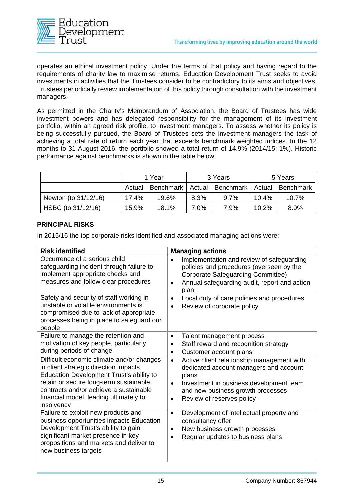

operates an ethical investment policy. Under the terms of that policy and having regard to the requirements of charity law to maximise returns, Education Development Trust seeks to avoid investments in activities that the Trustees consider to be contradictory to its aims and objectives. Trustees periodically review implementation of this policy through consultation with the investment managers.

As permitted in the Charity's Memorandum of Association, the Board of Trustees has wide investment powers and has delegated responsibility for the management of its investment portfolio, within an agreed risk profile, to investment managers. To assess whether its policy is being successfully pursued, the Board of Trustees sets the investment managers the task of achieving a total rate of return each year that exceeds benchmark weighted indices. In the 12 months to 31 August 2016, the portfolio showed a total return of 14.9% (2014/15: 1%). Historic performance against benchmarks is shown in the table below.

|                      | 1 Year |             | 3 Years |                    | 5 Years |                  |
|----------------------|--------|-------------|---------|--------------------|---------|------------------|
|                      | Actual | Benchmark I | Actual  | Benchmark   Actual |         | <b>Benchmark</b> |
| Newton (to 31/12/16) | 17.4%  | 19.6%       | 8.3%    | 9.7%               | 10.4%   | 10.7%            |
| HSBC (to 31/12/16)   | 15.9%  | 18.1%       | 7.0%    | 7.9%               | 10.2%   | 8.9%             |

## **PRINCIPAL RISKS**

In 2015/16 the top corporate risks identified and associated managing actions were:

| <b>Risk identified</b>                                                                                                                                                                                                                                                     | <b>Managing actions</b>                                                                                                                                                                                                                           |
|----------------------------------------------------------------------------------------------------------------------------------------------------------------------------------------------------------------------------------------------------------------------------|---------------------------------------------------------------------------------------------------------------------------------------------------------------------------------------------------------------------------------------------------|
| Occurrence of a serious child<br>safeguarding incident through failure to<br>implement appropriate checks and<br>measures and follow clear procedures                                                                                                                      | Implementation and review of safeguarding<br>$\bullet$<br>policies and procedures (overseen by the<br>Corporate Safeguarding Committee)<br>Annual safeguarding audit, report and action<br>$\bullet$<br>plan                                      |
| Safety and security of staff working in<br>unstable or volatile environments is<br>compromised due to lack of appropriate<br>processes being in place to safeguard our<br>people                                                                                           | Local duty of care policies and procedures<br>$\bullet$<br>Review of corporate policy<br>$\bullet$                                                                                                                                                |
| Failure to manage the retention and<br>motivation of key people, particularly<br>during periods of change                                                                                                                                                                  | Talent management process<br>$\bullet$<br>Staff reward and recognition strategy<br>$\bullet$<br>Customer account plans<br>٠                                                                                                                       |
| Difficult economic climate and/or changes<br>in client strategic direction impacts<br>Education Development Trust's ability to<br>retain or secure long-term sustainable<br>contracts and/or achieve a sustainable<br>financial model, leading ultimately to<br>insolvency | Active client relationship management with<br>$\bullet$<br>dedicated account managers and account<br>plans<br>Investment in business development team<br>$\bullet$<br>and new business growth processes<br>Review of reserves policy<br>$\bullet$ |
| Failure to exploit new products and<br>business opportunities impacts Education<br>Development Trust's ability to gain<br>significant market presence in key<br>propositions and markets and deliver to<br>new business targets                                            | Development of intellectual property and<br>$\bullet$<br>consultancy offer<br>New business growth processes<br>$\bullet$<br>Regular updates to business plans<br>$\bullet$                                                                        |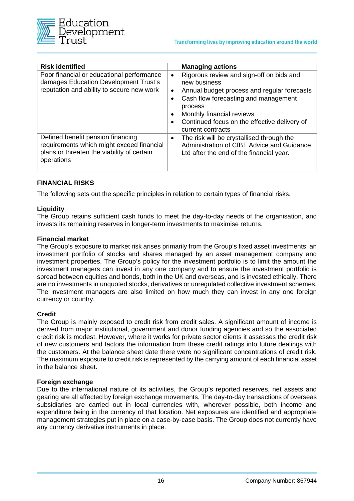

| <b>Risk identified</b>                                                                                                                     | <b>Managing actions</b>                                                                                                                                                                                                                                                                                                       |
|--------------------------------------------------------------------------------------------------------------------------------------------|-------------------------------------------------------------------------------------------------------------------------------------------------------------------------------------------------------------------------------------------------------------------------------------------------------------------------------|
| Poor financial or educational performance<br>damages Education Development Trust's<br>reputation and ability to secure new work            | Rigorous review and sign-off on bids and<br>$\bullet$<br>new business<br>Annual budget process and regular forecasts<br>$\bullet$<br>Cash flow forecasting and management<br>$\bullet$<br>process<br>Monthly financial reviews<br>$\bullet$<br>Continued focus on the effective delivery of<br>$\bullet$<br>current contracts |
| Defined benefit pension financing<br>requirements which might exceed financial<br>plans or threaten the viability of certain<br>operations | The risk will be crystallised through the<br>$\bullet$<br>Administration of CfBT Advice and Guidance<br>Ltd after the end of the financial year.                                                                                                                                                                              |

## **FINANCIAL RISKS**

The following sets out the specific principles in relation to certain types of financial risks.

### **Liquidity**

The Group retains sufficient cash funds to meet the day-to-day needs of the organisation, and invests its remaining reserves in longer-term investments to maximise returns.

#### **Financial market**

The Group's exposure to market risk arises primarily from the Group's fixed asset investments: an investment portfolio of stocks and shares managed by an asset management company and investment properties. The Group's policy for the investment portfolio is to limit the amount the investment managers can invest in any one company and to ensure the investment portfolio is spread between equities and bonds, both in the UK and overseas, and is invested ethically. There are no investments in unquoted stocks, derivatives or unregulated collective investment schemes. The investment managers are also limited on how much they can invest in any one foreign currency or country.

#### **Credit**

The Group is mainly exposed to credit risk from credit sales. A significant amount of income is derived from major institutional, government and donor funding agencies and so the associated credit risk is modest. However, where it works for private sector clients it assesses the credit risk of new customers and factors the information from these credit ratings into future dealings with the customers. At the balance sheet date there were no significant concentrations of credit risk. The maximum exposure to credit risk is represented by the carrying amount of each financial asset in the balance sheet.

#### **Foreign exchange**

Due to the international nature of its activities, the Group's reported reserves, net assets and gearing are all affected by foreign exchange movements. The day-to-day transactions of overseas subsidiaries are carried out in local currencies with, wherever possible, both income and expenditure being in the currency of that location. Net exposures are identified and appropriate management strategies put in place on a case-by-case basis. The Group does not currently have any currency derivative instruments in place.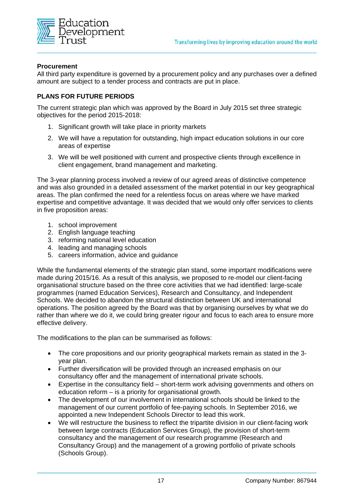

## **Procurement**

All third party expenditure is governed by a procurement policy and any purchases over a defined amount are subject to a tender process and contracts are put in place.

## **PLANS FOR FUTURE PERIODS**

The current strategic plan which was approved by the Board in July 2015 set three strategic objectives for the period 2015-2018:

- 1. Significant growth will take place in priority markets
- 2. We will have a reputation for outstanding, high impact education solutions in our core areas of expertise
- 3. We will be well positioned with current and prospective clients through excellence in client engagement, brand management and marketing.

The 3-year planning process involved a review of our agreed areas of distinctive competence and was also grounded in a detailed assessment of the market potential in our key geographical areas. The plan confirmed the need for a relentless focus on areas where we have marked expertise and competitive advantage. It was decided that we would only offer services to clients in five proposition areas:

- 1. school improvement
- 2. English language teaching
- 3. reforming national level education
- 4. leading and managing schools
- 5. careers information, advice and guidance

While the fundamental elements of the strategic plan stand, some important modifications were made during 2015/16. As a result of this analysis, we proposed to re-model our client-facing organisational structure based on the three core activities that we had identified: large-scale programmes (named Education Services), Research and Consultancy, and Independent Schools. We decided to abandon the structural distinction between UK and international operations. The position agreed by the Board was that by organising ourselves by what we do rather than where we do it, we could bring greater rigour and focus to each area to ensure more effective delivery.

The modifications to the plan can be summarised as follows:

- The core propositions and our priority geographical markets remain as stated in the 3 year plan.
- Further diversification will be provided through an increased emphasis on our consultancy offer and the management of international private schools.
- Expertise in the consultancy field short-term work advising governments and others on education reform – is a priority for organisational growth.
- The development of our involvement in international schools should be linked to the management of our current portfolio of fee-paying schools. In September 2016, we appointed a new Independent Schools Director to lead this work.
- We will restructure the business to reflect the tripartite division in our client-facing work between large contracts (Education Services Group), the provision of short-term consultancy and the management of our research programme (Research and Consultancy Group) and the management of a growing portfolio of private schools (Schools Group).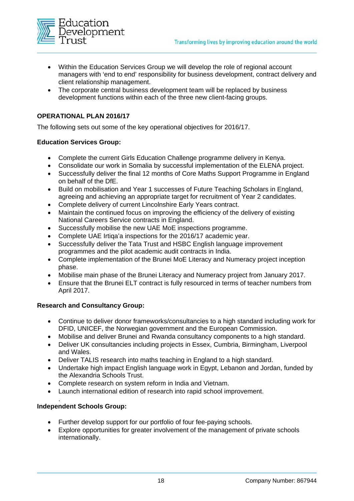

- Within the Education Services Group we will develop the role of regional account managers with 'end to end' responsibility for business development, contract delivery and client relationship management.
- The corporate central business development team will be replaced by business development functions within each of the three new client-facing groups.

## **OPERATIONAL PLAN 2016/17**

The following sets out some of the key operational objectives for 2016/17.

## **Education Services Group:**

- Complete the current Girls Education Challenge programme delivery in Kenya.
- Consolidate our work in Somalia by successful implementation of the ELENA project.
- Successfully deliver the final 12 months of Core Maths Support Programme in England on behalf of the DfE.
- Build on mobilisation and Year 1 successes of Future Teaching Scholars in England, agreeing and achieving an appropriate target for recruitment of Year 2 candidates.
- Complete delivery of current Lincolnshire Early Years contract.
- Maintain the continued focus on improving the efficiency of the delivery of existing National Careers Service contracts in England.
- Successfully mobilise the new UAE MoE inspections programme.
- Complete UAE Irtiqa'a inspections for the 2016/17 academic year.
- Successfully deliver the Tata Trust and HSBC English language improvement programmes and the pilot academic audit contracts in India.
- Complete implementation of the Brunei MoE Literacy and Numeracy project inception phase.
- Mobilise main phase of the Brunei Literacy and Numeracy project from January 2017.
- Ensure that the Brunei ELT contract is fully resourced in terms of teacher numbers from April 2017.

## **Research and Consultancy Group:**

- Continue to deliver donor frameworks/consultancies to a high standard including work for DFID, UNICEF, the Norwegian government and the European Commission.
- Mobilise and deliver Brunei and Rwanda consultancy components to a high standard.
- Deliver UK consultancies including projects in Essex, Cumbria, Birmingham, Liverpool and Wales.
- Deliver TALIS research into maths teaching in England to a high standard.
- Undertake high impact English language work in Egypt, Lebanon and Jordan, funded by the Alexandria Schools Trust.
- Complete research on system reform in India and Vietnam.
- Launch international edition of research into rapid school improvement.

#### . **Independent Schools Group:**

- Further develop support for our portfolio of four fee-paying schools.
- Explore opportunities for greater involvement of the management of private schools internationally.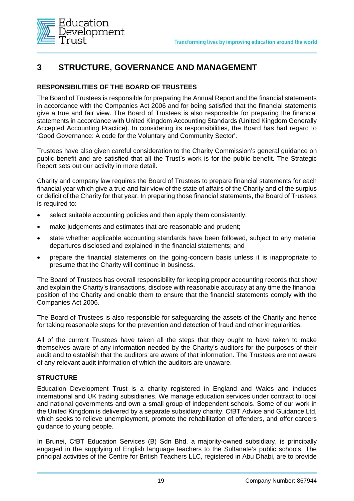

# **3 STRUCTURE, GOVERNANCE AND MANAGEMENT**

## **RESPONSIBILITIES OF THE BOARD OF TRUSTEES**

The Board of Trustees is responsible for preparing the Annual Report and the financial statements in accordance with the Companies Act 2006 and for being satisfied that the financial statements give a true and fair view. The Board of Trustees is also responsible for preparing the financial statements in accordance with United Kingdom Accounting Standards (United Kingdom Generally Accepted Accounting Practice). In considering its responsibilities, the Board has had regard to 'Good Governance: A code for the Voluntary and Community Sector'.

Trustees have also given careful consideration to the Charity Commission's general guidance on public benefit and are satisfied that all the Trust's work is for the public benefit. The Strategic Report sets out our activity in more detail.

Charity and company law requires the Board of Trustees to prepare financial statements for each financial year which give a true and fair view of the state of affairs of the Charity and of the surplus or deficit of the Charity for that year. In preparing those financial statements, the Board of Trustees is required to:

- select suitable accounting policies and then apply them consistently;
- make judgements and estimates that are reasonable and prudent;
- state whether applicable accounting standards have been followed, subject to any material departures disclosed and explained in the financial statements; and
- prepare the financial statements on the going-concern basis unless it is inappropriate to presume that the Charity will continue in business.

The Board of Trustees has overall responsibility for keeping proper accounting records that show and explain the Charity's transactions, disclose with reasonable accuracy at any time the financial position of the Charity and enable them to ensure that the financial statements comply with the Companies Act 2006.

The Board of Trustees is also responsible for safeguarding the assets of the Charity and hence for taking reasonable steps for the prevention and detection of fraud and other irregularities.

All of the current Trustees have taken all the steps that they ought to have taken to make themselves aware of any information needed by the Charity's auditors for the purposes of their audit and to establish that the auditors are aware of that information. The Trustees are not aware of any relevant audit information of which the auditors are unaware.

## **STRUCTURE**

Education Development Trust is a charity registered in England and Wales and includes international and UK trading subsidiaries. We manage education services under contract to local and national governments and own a small group of independent schools. Some of our work in the United Kingdom is delivered by a separate subsidiary charity, CfBT Advice and Guidance Ltd, which seeks to relieve unemployment, promote the rehabilitation of offenders, and offer careers guidance to young people.

In Brunei, CfBT Education Services (B) Sdn Bhd, a majority-owned subsidiary, is principally engaged in the supplying of English language teachers to the Sultanate's public schools. The principal activities of the Centre for British Teachers LLC, registered in Abu Dhabi, are to provide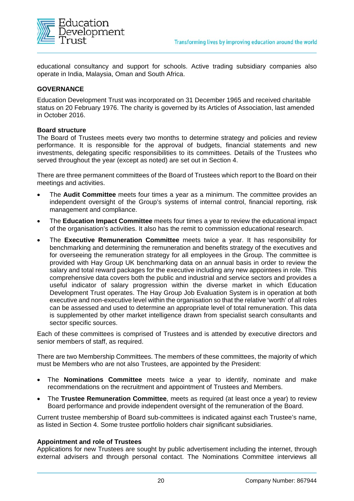

educational consultancy and support for schools. Active trading subsidiary companies also operate in India, Malaysia, Oman and South Africa.

## **GOVERNANCE**

Education Development Trust was incorporated on 31 December 1965 and received charitable status on 20 February 1976. The charity is governed by its Articles of Association, last amended in October 2016.

#### **Board structure**

The Board of Trustees meets every two months to determine strategy and policies and review performance. It is responsible for the approval of budgets, financial statements and new investments, delegating specific responsibilities to its committees. Details of the Trustees who served throughout the year (except as noted) are set out in Section 4.

There are three permanent committees of the Board of Trustees which report to the Board on their meetings and activities.

- The **Audit Committee** meets four times a year as a minimum. The committee provides an independent oversight of the Group's systems of internal control, financial reporting, risk management and compliance.
- The **Education Impact Committee** meets four times a year to review the educational impact of the organisation's activities. It also has the remit to commission educational research.
- The **Executive Remuneration Committee** meets twice a year. It has responsibility for benchmarking and determining the remuneration and benefits strategy of the executives and for overseeing the remuneration strategy for all employees in the Group. The committee is provided with Hay Group UK benchmarking data on an annual basis in order to review the salary and total reward packages for the executive including any new appointees in role. This comprehensive data covers both the public and industrial and service sectors and provides a useful indicator of salary progression within the diverse market in which Education Development Trust operates. The Hay Group Job Evaluation System is in operation at both executive and non-executive level within the organisation so that the relative 'worth' of all roles can be assessed and used to determine an appropriate level of total remuneration. This data is supplemented by other market intelligence drawn from specialist search consultants and sector specific sources.

Each of these committees is comprised of Trustees and is attended by executive directors and senior members of staff, as required.

There are two Membership Committees. The members of these committees, the majority of which must be Members who are not also Trustees, are appointed by the President:

- The **Nominations Committee** meets twice a year to identify, nominate and make recommendations on the recruitment and appointment of Trustees and Members.
- The **Trustee Remuneration Committee**, meets as required (at least once a year) to review Board performance and provide independent oversight of the remuneration of the Board.

Current trustee membership of Board sub-committees is indicated against each Trustee's name, as listed in Section 4. Some trustee portfolio holders chair significant subsidiaries.

#### **Appointment and role of Trustees**

Applications for new Trustees are sought by public advertisement including the internet, through external advisers and through personal contact. The Nominations Committee interviews all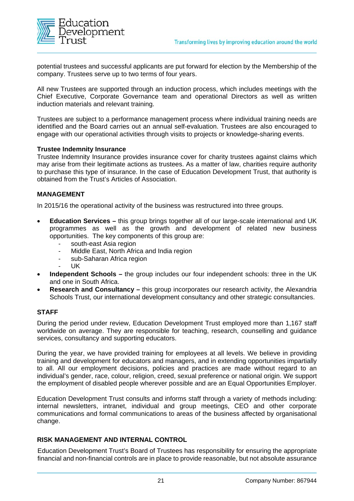

potential trustees and successful applicants are put forward for election by the Membership of the company. Trustees serve up to two terms of four years.

All new Trustees are supported through an induction process, which includes meetings with the Chief Executive, Corporate Governance team and operational Directors as well as written induction materials and relevant training.

Trustees are subject to a performance management process where individual training needs are identified and the Board carries out an annual self-evaluation. Trustees are also encouraged to engage with our operational activities through visits to projects or knowledge-sharing events.

### **Trustee Indemnity Insurance**

Trustee Indemnity Insurance provides insurance cover for charity trustees against claims which may arise from their legitimate actions as trustees. As a matter of law, charities require authority to purchase this type of insurance. In the case of Education Development Trust, that authority is obtained from the Trust's Articles of Association.

## **MANAGEMENT**

In 2015/16 the operational activity of the business was restructured into three groups.

- **Education Services** this group brings together all of our large-scale international and UK programmes as well as the growth and development of related new business opportunities. The key components of this group are:
	- south-east Asia region
	- Middle East, North Africa and India region
	- sub-Saharan Africa region
	- UK
- **Independent Schools** the group includes our four independent schools: three in the UK and one in South Africa.
- **Research and Consultancy** this group incorporates our research activity, the Alexandria Schools Trust, our international development consultancy and other strategic consultancies.

## **STAFF**

During the period under review, Education Development Trust employed more than 1,167 staff worldwide on average. They are responsible for teaching, research, counselling and guidance services, consultancy and supporting educators.

During the year, we have provided training for employees at all levels. We believe in providing training and development for educators and managers, and in extending opportunities impartially to all. All our employment decisions, policies and practices are made without regard to an individual's gender, race, colour, religion, creed, sexual preference or national origin. We support the employment of disabled people wherever possible and are an Equal Opportunities Employer.

Education Development Trust consults and informs staff through a variety of methods including: internal newsletters, intranet, individual and group meetings, CEO and other corporate communications and formal communications to areas of the business affected by organisational change.

## **RISK MANAGEMENT AND INTERNAL CONTROL**

Education Development Trust's Board of Trustees has responsibility for ensuring the appropriate financial and non-financial controls are in place to provide reasonable, but not absolute assurance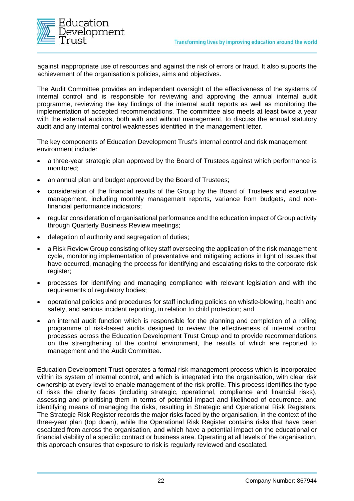

against inappropriate use of resources and against the risk of errors or fraud. It also supports the achievement of the organisation's policies, aims and objectives.

The Audit Committee provides an independent oversight of the effectiveness of the systems of internal control and is responsible for reviewing and approving the annual internal audit programme, reviewing the key findings of the internal audit reports as well as monitoring the implementation of accepted recommendations. The committee also meets at least twice a year with the external auditors, both with and without management, to discuss the annual statutory audit and any internal control weaknesses identified in the management letter.

The key components of Education Development Trust's internal control and risk management environment include:

- a three-year strategic plan approved by the Board of Trustees against which performance is monitored;
- an annual plan and budget approved by the Board of Trustees;
- consideration of the financial results of the Group by the Board of Trustees and executive management, including monthly management reports, variance from budgets, and nonfinancial performance indicators;
- regular consideration of organisational performance and the education impact of Group activity through Quarterly Business Review meetings;
- delegation of authority and segregation of duties;
- a Risk Review Group consisting of key staff overseeing the application of the risk management cycle, monitoring implementation of preventative and mitigating actions in light of issues that have occurred, managing the process for identifying and escalating risks to the corporate risk register;
- processes for identifying and managing compliance with relevant legislation and with the requirements of requilatory bodies;
- operational policies and procedures for staff including policies on whistle-blowing, health and safety, and serious incident reporting, in relation to child protection; and
- an internal audit function which is responsible for the planning and completion of a rolling programme of risk-based audits designed to review the effectiveness of internal control processes across the Education Development Trust Group and to provide recommendations on the strengthening of the control environment, the results of which are reported to management and the Audit Committee.

Education Development Trust operates a formal risk management process which is incorporated within its system of internal control, and which is integrated into the organisation, with clear risk ownership at every level to enable management of the risk profile. This process identifies the type of risks the charity faces (including strategic, operational, compliance and financial risks), assessing and prioritising them in terms of potential impact and likelihood of occurrence, and identifying means of managing the risks, resulting in Strategic and Operational Risk Registers. The Strategic Risk Register records the major risks faced by the organisation, in the context of the three-year plan (top down), while the Operational Risk Register contains risks that have been escalated from across the organisation, and which have a potential impact on the educational or financial viability of a specific contract or business area. Operating at all levels of the organisation, this approach ensures that exposure to risk is regularly reviewed and escalated.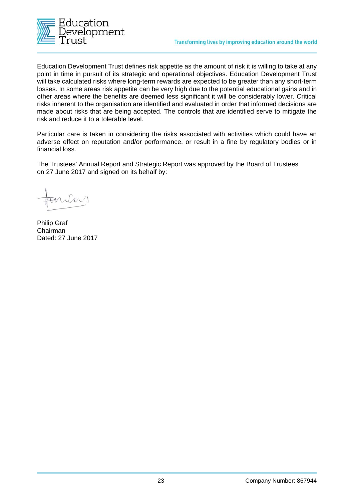

Education Development Trust defines risk appetite as the amount of risk it is willing to take at any point in time in pursuit of its strategic and operational objectives. Education Development Trust will take calculated risks where long-term rewards are expected to be greater than any short-term losses. In some areas risk appetite can be very high due to the potential educational gains and in other areas where the benefits are deemed less significant it will be considerably lower. Critical risks inherent to the organisation are identified and evaluated in order that informed decisions are made about risks that are being accepted. The controls that are identified serve to mitigate the risk and reduce it to a tolerable level.

Particular care is taken in considering the risks associated with activities which could have an adverse effect on reputation and/or performance, or result in a fine by regulatory bodies or in financial loss.

The Trustees' Annual Report and Strategic Report was approved by the Board of Trustees on 27 June 2017 and signed on its behalf by:

nili

Philip Graf Chairman Dated: 27 June 2017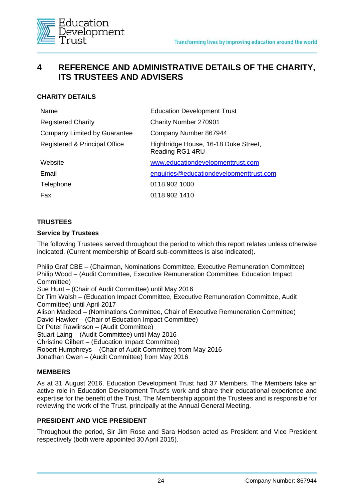

# **4 REFERENCE AND ADMINISTRATIVE DETAILS OF THE CHARITY, ITS TRUSTEES AND ADVISERS**

## **CHARITY DETAILS**

| Name                                | <b>Education Development Trust</b>                      |
|-------------------------------------|---------------------------------------------------------|
| <b>Registered Charity</b>           | Charity Number 270901                                   |
| <b>Company Limited by Guarantee</b> | Company Number 867944                                   |
| Registered & Principal Office       | Highbridge House, 16-18 Duke Street,<br>Reading RG1 4RU |
| Website                             | www.educationdevelopmenttrust.com                       |
| Email                               | enquiries@educationdevelopmenttrust.com                 |
| Telephone                           | 0118 902 1000                                           |
| Fax                                 | 0118 902 1410                                           |

## **TRUSTEES**

### **Service by Trustees**

The following Trustees served throughout the period to which this report relates unless otherwise indicated. (Current membership of Board sub-committees is also indicated).

Philip Graf CBE – (Chairman, Nominations Committee, Executive Remuneration Committee) Philip Wood – (Audit Committee, Executive Remuneration Committee, Education Impact Committee) Sue Hunt – (Chair of Audit Committee) until May 2016 Dr Tim Walsh – (Education Impact Committee, Executive Remuneration Committee, Audit Committee) until April 2017 Alison Macleod – (Nominations Committee, Chair of Executive Remuneration Committee) David Hawker – (Chair of Education Impact Committee) Dr Peter Rawlinson – (Audit Committee) Stuart Laing – (Audit Committee) until May 2016 Christine Gilbert – (Education Impact Committee) Robert Humphreys – (Chair of Audit Committee) from May 2016 Jonathan Owen – (Audit Committee) from May 2016

## **MEMBERS**

As at 31 August 2016, Education Development Trust had 37 Members. The Members take an active role in Education Development Trust's work and share their educational experience and expertise for the benefit of the Trust. The Membership appoint the Trustees and is responsible for reviewing the work of the Trust, principally at the Annual General Meeting.

## **PRESIDENT AND VICE PRESIDENT**

Throughout the period, Sir Jim Rose and Sara Hodson acted as President and Vice President respectively (both were appointed 30 April 2015).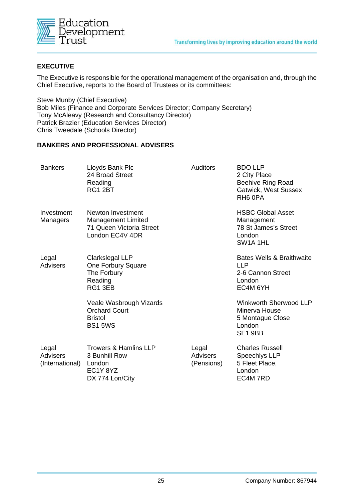

## **EXECUTIVE**

The Executive is responsible for the operational management of the organisation and, through the Chief Executive, reports to the Board of Trustees or its committees:

Steve Munby (Chief Executive) Bob Miles (Finance and Corporate Services Director; Company Secretary) Tony McAleavy (Research and Consultancy Director) Patrick Brazier (Education Services Director) Chris Tweedale (Schools Director)

## **BANKERS AND PROFESSIONAL ADVISERS**

| <b>Bankers</b>                                     | Lloyds Bank Plc<br>24 Broad Street<br>Reading<br>RG1 2BT                                      | <b>Auditors</b>                        | <b>BDO LLP</b><br>2 City Place<br><b>Beehive Ring Road</b><br><b>Gatwick, West Sussex</b><br>RH <sub>6</sub> OPA |
|----------------------------------------------------|-----------------------------------------------------------------------------------------------|----------------------------------------|------------------------------------------------------------------------------------------------------------------|
| Investment<br>Managers                             | Newton Investment<br><b>Management Limited</b><br>71 Queen Victoria Street<br>London EC4V 4DR |                                        | <b>HSBC Global Asset</b><br>Management<br>78 St James's Street<br>London<br>SW <sub>1</sub> A 1HL                |
| Legal<br><b>Advisers</b>                           | Clarkslegal LLP<br>One Forbury Square<br>The Forbury<br>Reading<br>RG1 3EB                    |                                        | Bates Wells & Braithwaite<br>II P<br>2-6 Cannon Street<br>London<br>EC4M 6YH                                     |
|                                                    | Veale Wasbrough Vizards<br><b>Orchard Court</b><br><b>Bristol</b><br><b>BS1 5WS</b>           |                                        | Winkworth Sherwood LLP<br>Minerva House<br>5 Montague Close<br>London<br>SE1 9BB                                 |
| Legal<br><b>Advisers</b><br>(International) London | <b>Trowers &amp; Hamlins LLP</b><br>3 Bunhill Row<br>EC1Y8YZ<br>DX 774 Lon/City               | Legal<br><b>Advisers</b><br>(Pensions) | <b>Charles Russell</b><br>Speechlys LLP<br>5 Fleet Place,<br>London<br>EC4M 7RD                                  |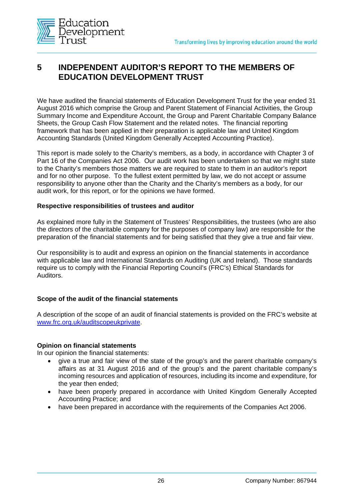

# **5 INDEPENDENT AUDITOR'S REPORT TO THE MEMBERS OF EDUCATION DEVELOPMENT TRUST**

We have audited the financial statements of Education Development Trust for the year ended 31 August 2016 which comprise the Group and Parent Statement of Financial Activities, the Group Summary Income and Expenditure Account, the Group and Parent Charitable Company Balance Sheets, the Group Cash Flow Statement and the related notes. The financial reporting framework that has been applied in their preparation is applicable law and United Kingdom Accounting Standards (United Kingdom Generally Accepted Accounting Practice).

This report is made solely to the Charity's members, as a body, in accordance with Chapter 3 of Part 16 of the Companies Act 2006. Our audit work has been undertaken so that we might state to the Charity's members those matters we are required to state to them in an auditor's report and for no other purpose. To the fullest extent permitted by law, we do not accept or assume responsibility to anyone other than the Charity and the Charity's members as a body, for our audit work, for this report, or for the opinions we have formed.

## **Respective responsibilities of trustees and auditor**

As explained more fully in the Statement of Trustees' Responsibilities, the trustees (who are also the directors of the charitable company for the purposes of company law) are responsible for the preparation of the financial statements and for being satisfied that they give a true and fair view.

Our responsibility is to audit and express an opinion on the financial statements in accordance with applicable law and International Standards on Auditing (UK and Ireland). Those standards require us to comply with the Financial Reporting Council's (FRC's) Ethical Standards for Auditors.

## **Scope of the audit of the financial statements**

A description of the scope of an audit of financial statements is provided on the FRC's website at www.frc.org.uk/auditscopeukprivate.

## **Opinion on financial statements**

In our opinion the financial statements:

- give a true and fair view of the state of the group's and the parent charitable company's affairs as at 31 August 2016 and of the group's and the parent charitable company's incoming resources and application of resources, including its income and expenditure, for the year then ended;
- have been properly prepared in accordance with United Kingdom Generally Accepted Accounting Practice; and
- have been prepared in accordance with the requirements of the Companies Act 2006.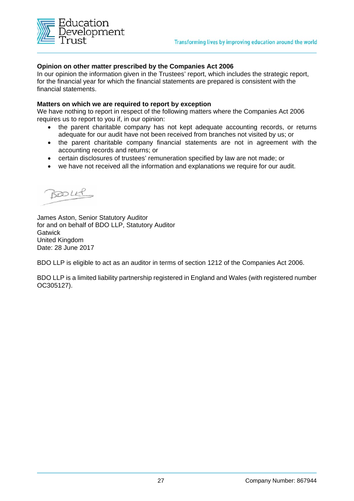

## **Opinion on other matter prescribed by the Companies Act 2006**

In our opinion the information given in the Trustees' report, which includes the strategic report, for the financial year for which the financial statements are prepared is consistent with the financial statements.

## **Matters on which we are required to report by exception**

We have nothing to report in respect of the following matters where the Companies Act 2006 requires us to report to you if, in our opinion:

- the parent charitable company has not kept adequate accounting records, or returns adequate for our audit have not been received from branches not visited by us; or
- the parent charitable company financial statements are not in agreement with the accounting records and returns; or
- certain disclosures of trustees' remuneration specified by law are not made; or
- we have not received all the information and explanations we require for our audit.

BOOLLP,

James Aston, Senior Statutory Auditor for and on behalf of BDO LLP, Statutory Auditor **Gatwick** United Kingdom Date: 28 June 2017

BDO LLP is eligible to act as an auditor in terms of section 1212 of the Companies Act 2006.

BDO LLP is a limited liability partnership registered in England and Wales (with registered number OC305127).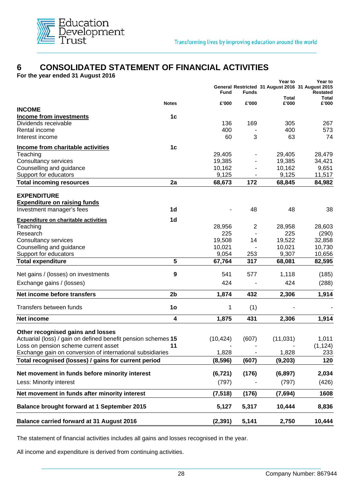

# **6 CONSOLIDATED STATEMENT OF FINANCIAL ACTIVITIES**

**For the year ended 31 August 2016**

|                                                               |                |           |              | Year to                                          | Year to         |
|---------------------------------------------------------------|----------------|-----------|--------------|--------------------------------------------------|-----------------|
|                                                               |                |           |              | General Restricted 31 August 2016 31 August 2015 |                 |
|                                                               |                | Fund      | <b>Funds</b> |                                                  | <b>Restated</b> |
|                                                               | <b>Notes</b>   | £'000     | £'000        | <b>Total</b><br>£'000                            | Total<br>£'000  |
| <b>INCOME</b>                                                 |                |           |              |                                                  |                 |
| <b>Income from investments</b>                                | 1 <sub>c</sub> |           |              |                                                  |                 |
| Dividends receivable                                          |                | 136       | 169          | 305                                              | 267             |
| Rental income                                                 |                | 400       |              | 400                                              | 573             |
|                                                               |                |           |              |                                                  |                 |
| Interest income                                               |                | 60        | 3            | 63                                               | 74              |
| Income from charitable activities                             | 1 <sub>c</sub> |           |              |                                                  |                 |
| Teaching                                                      |                | 29,405    |              | 29,405                                           | 28,479          |
| <b>Consultancy services</b>                                   |                | 19,385    |              | 19,385                                           | 34,421          |
| Counselling and guidance                                      |                | 10,162    |              | 10,162                                           | 9,651           |
| Support for educators                                         |                | 9,125     |              | 9,125                                            | 11,517          |
|                                                               |                |           |              |                                                  |                 |
| <b>Total incoming resources</b>                               | 2a             | 68,673    | 172          | 68,845                                           | 84,982          |
| <b>EXPENDITURE</b>                                            |                |           |              |                                                  |                 |
|                                                               |                |           |              |                                                  |                 |
| <b>Expenditure on raising funds</b>                           |                |           |              |                                                  |                 |
| Investment manager's fees                                     | 1 <sub>d</sub> |           | 48           | 48                                               | 38              |
| <b>Expenditure on charitable activities</b>                   | 1 <sub>d</sub> |           |              |                                                  |                 |
| Teaching                                                      |                | 28,956    | 2            | 28,958                                           | 28,603          |
| Research                                                      |                | 225       |              | 225                                              | (290)           |
| Consultancy services                                          |                | 19,508    | 14           | 19,522                                           | 32,858          |
|                                                               |                |           |              |                                                  |                 |
| Counselling and guidance                                      |                | 10,021    |              | 10,021                                           | 10,730          |
| Support for educators                                         |                | 9,054     | 253          | 9,307                                            | 10,656          |
| <b>Total expenditure</b>                                      | 5              | 67,764    | 317          | 68,081                                           | 82,595          |
|                                                               | 9              | 541       | 577          | 1,118                                            |                 |
| Net gains / (losses) on investments                           |                |           |              |                                                  | (185)           |
| Exchange gains / (losses)                                     |                | 424       |              | 424                                              | (288)           |
| Net income before transfers                                   | 2 <sub>b</sub> | 1,874     | 432          | 2,306                                            | 1,914           |
|                                                               |                |           |              |                                                  |                 |
| Transfers between funds                                       | 1 <sub>o</sub> | 1         | (1)          |                                                  |                 |
|                                                               |                |           |              |                                                  |                 |
| Net income                                                    | 4              | 1,875     | 431          | 2,306                                            | 1,914           |
|                                                               |                |           |              |                                                  |                 |
| Other recognised gains and losses                             |                |           |              |                                                  |                 |
| Actuarial (loss) / gain on defined benefit pension schemes 15 |                | (10, 424) | (607)        | (11, 031)                                        | 1,011           |
| Loss on pension scheme current asset                          | 11             |           |              |                                                  | (1, 124)        |
| Exchange gain on conversion of international subsidiaries     |                | 1,828     |              | 1,828                                            | 233             |
| Total recognised (losses) / gains for current period          |                | (8,596)   | (607)        | (9, 203)                                         | 120             |
|                                                               |                |           |              |                                                  |                 |
| Net movement in funds before minority interest                |                | (6, 721)  | (176)        | (6, 897)                                         | 2,034           |
| Less: Minority interest                                       |                | (797)     |              | (797)                                            | (426)           |
| Net movement in funds after minority interest                 |                | (7, 518)  | (176)        | (7,694)                                          | 1608            |
| <b>Balance brought forward at 1 September 2015</b>            |                | 5,127     | 5,317        | 10,444                                           | 8,836           |
| <b>Balance carried forward at 31 August 2016</b>              |                | (2, 391)  | 5,141        | 2,750                                            | 10,444          |

The statement of financial activities includes all gains and losses recognised in the year.

All income and expenditure is derived from continuing activities.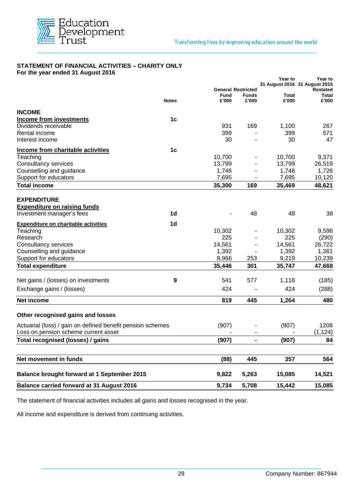



#### **STATEMENT OF FINANCIAL ACTIVITIES – CHARITY ONLY For the year ended 31 August 2016**

|                                                            |                | <b>General Restricted</b> |                       | Year to               | Year to<br>31 August 2016 31 August 2015<br>Restated |
|------------------------------------------------------------|----------------|---------------------------|-----------------------|-----------------------|------------------------------------------------------|
|                                                            | <b>Notes</b>   | <b>Fund</b><br>£'000      | <b>Funds</b><br>£'000 | <b>Total</b><br>£'000 | Total<br>£'000                                       |
| <b>INCOME</b>                                              |                |                           |                       |                       |                                                      |
| <b>Income from investments</b>                             | 1 <sub>c</sub> |                           |                       |                       |                                                      |
| Dividends receivable                                       |                | 931                       | 169                   | 1,100                 | 267                                                  |
| Rental income                                              |                | 399                       |                       | 399                   | 571                                                  |
| Interest income                                            |                | 30                        |                       | 30                    | 47                                                   |
| Income from charitable activities                          | 1 <sub>c</sub> |                           |                       |                       |                                                      |
| Teaching                                                   |                | 10,700                    |                       | 10,700                | 9,371                                                |
| <b>Consultancy services</b>                                |                | 13,799                    |                       | 13,799                | 26,519                                               |
| Counselling and guidance                                   |                | 1,746                     |                       | 1,746                 | 1,726                                                |
| Support for educators                                      |                | 7,695                     |                       | 7,695                 | 10,120                                               |
| <b>Total income</b>                                        |                | 35,300                    | 169                   | 35,469                | 48,621                                               |
|                                                            |                |                           |                       |                       |                                                      |
| <b>EXPENDITURE</b>                                         |                |                           |                       |                       |                                                      |
| <b>Expenditure on raising funds</b>                        |                |                           |                       |                       |                                                      |
| Investment manager's fees                                  | 1 <sub>d</sub> |                           | 48                    | 48                    | 38                                                   |
| <b>Expenditure on charitable activities</b>                | 1 <sub>d</sub> |                           |                       |                       |                                                      |
| Teaching                                                   |                | 10,302                    |                       | 10,302                | 9,598                                                |
| Research                                                   |                | 225                       |                       | 225                   | (290)                                                |
| Consultancy services                                       |                | 14,561                    |                       | 14,561                | 26,722                                               |
| Counselling and guidance                                   |                | 1,392                     |                       | 1,392                 | 1,361                                                |
| Support for educators                                      |                | 8,966                     | 253                   | 9,219                 | 10,239                                               |
| <b>Total expenditure</b>                                   |                | 35,446                    | 301                   | 35,747                | 47,668                                               |
| Net gains / (losses) on investments                        | 9              | 541                       | 577                   | 1,118                 | (185)                                                |
| Exchange gains / (losses)                                  |                | 424                       |                       | 424                   | (288)                                                |
|                                                            |                |                           |                       |                       |                                                      |
| <b>Net income</b>                                          |                | 819                       | 445                   | 1,264                 | 480                                                  |
| Other recognised gains and losses                          |                |                           |                       |                       |                                                      |
| Actuarial (loss) / gain on defined benefit pension schemes |                | (907)                     |                       | (907)                 | 1208                                                 |
| Loss on pension scheme current asset                       |                |                           | ۰                     |                       | (1, 124)                                             |
| Total recognised (losses) / gains                          |                | (907)                     | $\blacksquare$        | (907)                 | 84                                                   |
|                                                            |                |                           |                       |                       |                                                      |
| Net movement in funds                                      |                | (88)                      | 445                   | 357                   | 564                                                  |
| <b>Balance brought forward at 1 September 2015</b>         |                | 9,822                     | 5,263                 | 15,085                | 14,521                                               |
| <b>Balance carried forward at 31 August 2016</b>           |                | 9,734                     | 5,708                 | 15,442                | 15,085                                               |

The statement of financial activities includes all gains and losses recognised in the year.

All income and expenditure is derived from continuing activities.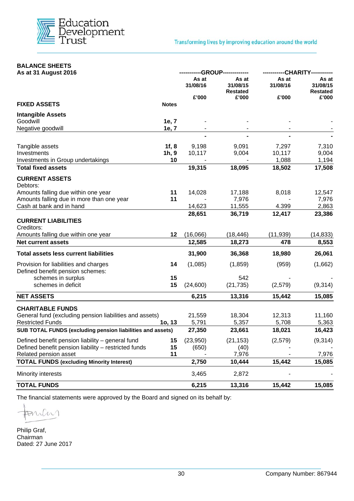

# **BALANCE SHEETS**

| As at 31 August 2016                                                          |              | ---------GROUP------------- | ---------CHARITY-----------          |                   |                                      |
|-------------------------------------------------------------------------------|--------------|-----------------------------|--------------------------------------|-------------------|--------------------------------------|
|                                                                               |              | As at<br>31/08/16           | As at<br>31/08/15<br><b>Restated</b> | As at<br>31/08/16 | As at<br>31/08/15<br><b>Restated</b> |
| <b>FIXED ASSETS</b>                                                           | <b>Notes</b> | £'000                       | £'000                                | £'000             | £'000                                |
|                                                                               |              |                             |                                      |                   |                                      |
| <b>Intangible Assets</b><br>Goodwill                                          | 1e, 7        |                             |                                      |                   |                                      |
| Negative goodwill                                                             | 1e, 7        |                             |                                      |                   |                                      |
|                                                                               |              |                             |                                      |                   |                                      |
| Tangible assets                                                               | 1f, 8        | 9,198                       | 9,091                                | 7,297             | 7,310                                |
| Investments                                                                   | 1h, 9        | 10,117                      | 9,004                                | 10,117            | 9,004                                |
| Investments in Group undertakings                                             | 10           |                             |                                      | 1,088             | 1,194                                |
| <b>Total fixed assets</b>                                                     |              | 19,315                      | 18,095                               | 18,502            | 17,508                               |
| <b>CURRENT ASSETS</b><br>Debtors:                                             |              |                             |                                      |                   |                                      |
| Amounts falling due within one year                                           | 11           | 14,028                      | 17,188                               | 8,018             | 12,547                               |
| Amounts falling due in more than one year                                     | 11           |                             | 7,976                                |                   | 7,976                                |
| Cash at bank and in hand                                                      |              | 14,623                      | 11,555                               | 4.399             | 2,863                                |
| <b>CURRENT LIABILITIES</b>                                                    |              | 28,651                      | 36,719                               | 12,417            | 23,386                               |
| Creditors:                                                                    |              |                             |                                      |                   |                                      |
| Amounts falling due within one year<br><b>Net current assets</b>              | 12           | (16,066)<br>12,585          | (18, 446)<br>18,273                  | (11, 939)<br>478  | (14, 833)<br>8,553                   |
|                                                                               |              |                             |                                      |                   |                                      |
| <b>Total assets less current liabilities</b>                                  |              | 31,900                      | 36,368                               | 18,980            | 26,061                               |
| Provision for liabilities and charges<br>Defined benefit pension schemes:     | 14           | (1,085)                     | (1,859)                              | (959)             | (1,662)                              |
| schemes in surplus                                                            | 15           |                             | 542                                  |                   |                                      |
| schemes in deficit                                                            | 15           | (24,600)                    | (21, 735)                            | (2,579)           | (9,314)                              |
| <b>NET ASSETS</b>                                                             |              | 6,215                       | 13,316                               | 15,442            | 15,085                               |
| <b>CHARITABLE FUNDS</b>                                                       |              |                             |                                      |                   |                                      |
| General fund (excluding pension liabilities and assets)                       |              | 21,559                      | 18,304                               | 12,313            | 11,160                               |
| <b>Restricted Funds</b>                                                       | 10, 13       | 5,791                       | 5,357                                | 5,708             | 5,363                                |
| SUB TOTAL FUNDS (excluding pension liabilities and assets)                    |              | 27,350                      | 23,661                               | 18,021            | 16,423                               |
| Defined benefit pension liability - general fund                              | 15           | (23,950)                    | (21, 153)                            | (2, 579)          | (9,314)                              |
| Defined benefit pension liability - restricted funds<br>Related pension asset | 15<br>11     | (650)                       | (40)<br>7,976                        |                   | 7,976                                |
| <b>TOTAL FUNDS (excluding Minority Interest)</b>                              |              | 2,750                       | 10,444                               | 15,442            | 15,085                               |
| Minority interests                                                            |              | 3,465                       | 2,872                                |                   |                                      |
| <b>TOTAL FUNDS</b>                                                            |              | 6,215                       | 13,316                               | 15,442            | 15,085                               |

The financial statements were approved by the Board and signed on its behalf by:

 $\mathcal{B}$ ulu

Philip Graf, Chairman Dated: 27 June 2017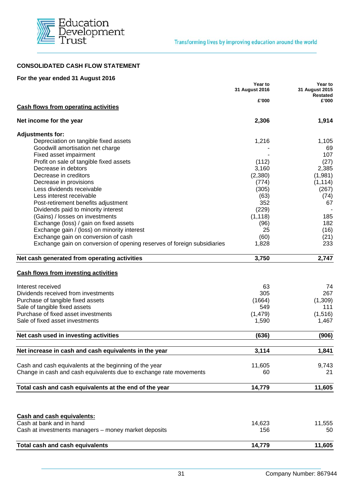

## **CONSOLIDATED CASH FLOW STATEMENT**

| For the year ended 31 August 2016                                       |                           |                                       |
|-------------------------------------------------------------------------|---------------------------|---------------------------------------|
|                                                                         | Year to<br>31 August 2016 | Year to<br>31 August 2015<br>Restated |
| <b>Cash flows from operating activities</b>                             | £'000                     | £'000                                 |
| Net income for the year                                                 | 2,306                     | 1,914                                 |
| <b>Adjustments for:</b>                                                 |                           |                                       |
| Depreciation on tangible fixed assets                                   | 1,216                     | 1,105                                 |
| Goodwill amortisation net charge                                        |                           | 69                                    |
| Fixed asset impairment                                                  |                           | 107                                   |
| Profit on sale of tangible fixed assets                                 | (112)                     | (27)                                  |
| Decrease in debtors                                                     | 3,160                     | 2,385                                 |
| Decrease in creditors                                                   | (2,380)                   | (1,981)                               |
| Decrease in provisions                                                  | (774)                     | (1, 114)                              |
| Less dividends receivable                                               | (305)                     | (267)                                 |
| Less interest receivable                                                | (63)                      | (74)                                  |
| Post-retirement benefits adjustment                                     | 352                       | 67                                    |
| Dividends paid to minority interest                                     | (229)                     |                                       |
| (Gains) / losses on investments                                         | (1, 118)                  | 185                                   |
| Exchange (loss) / gain on fixed assets                                  | (96)                      | 182                                   |
| Exchange gain / (loss) on minority interest                             | 25                        | (16)                                  |
| Exchange gain on conversion of cash                                     | (60)                      | (21)                                  |
| Exchange gain on conversion of opening reserves of foreign subsidiaries | 1,828                     | 233                                   |
| Net cash generated from operating activities                            | 3,750                     | 2,747                                 |
| <b>Cash flows from investing activities</b>                             |                           |                                       |
| Interest received                                                       | 63                        | 74                                    |
| Dividends received from investments                                     | 305                       | 267                                   |
| Purchase of tangible fixed assets                                       | (1664)                    | (1,309)                               |
| Sale of tangible fixed assets                                           | 549                       | 111                                   |
| Purchase of fixed asset investments                                     | (1, 479)                  | (1, 516)                              |
| Sale of fixed asset investments                                         | 1,590                     | 1,467                                 |
| Net cash used in investing activities                                   | (636)                     | (906)                                 |
| Net increase in cash and cash equivalents in the year                   | 3,114                     | 1,841                                 |
|                                                                         |                           |                                       |
| Cash and cash equivalents at the beginning of the year                  | 11,605                    | 9,743                                 |
| Change in cash and cash equivalents due to exchange rate movements      | 60                        | 21                                    |
| Total cash and cash equivalents at the end of the year                  | 14,779                    | 11,605                                |
|                                                                         |                           |                                       |
| <b>Cash and cash equivalents:</b>                                       |                           |                                       |
| Cash at bank and in hand                                                | 14,623                    | 11,555                                |
| Cash at investments managers - money market deposits                    | 156                       | 50                                    |
| <b>Total cash and cash equivalents</b>                                  | 14,779                    | 11,605                                |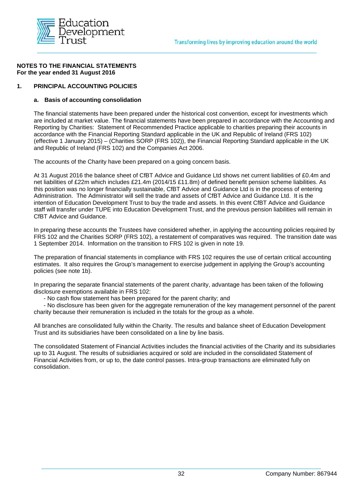

#### **1. PRINCIPAL ACCOUNTING POLICIES**

#### **a. Basis of accounting consolidation**

The financial statements have been prepared under the historical cost convention, except for investments which are included at market value. The financial statements have been prepared in accordance with the Accounting and Reporting by Charities: Statement of Recommended Practice applicable to charities preparing their accounts in accordance with the Financial Reporting Standard applicable in the UK and Republic of Ireland (FRS 102) (effective 1 January 2015) – (Charities SORP (FRS 102)), the Financial Reporting Standard applicable in the UK and Republic of Ireland (FRS 102) and the Companies Act 2006.

The accounts of the Charity have been prepared on a going concern basis.

At 31 August 2016 the balance sheet of CfBT Advice and Guidance Ltd shows net current liabilities of £0.4m and net liabilities of £22m which includes £21.4m (2014/15 £11.8m) of defined benefit pension scheme liabilities. As this position was no longer financially sustainable, CfBT Advice and Guidance Ltd is in the process of entering Administration. The Administrator will sell the trade and assets of CfBT Advice and Guidance Ltd. It is the intention of Education Development Trust to buy the trade and assets. In this event CfBT Advice and Guidance staff will transfer under TUPE into Education Development Trust, and the previous pension liabilities will remain in CfBT Advice and Guidance.

In preparing these accounts the Trustees have considered whether, in applying the accounting policies required by FRS 102 and the Charities SORP (FRS 102), a restatement of comparatives was required. The transition date was 1 September 2014. Information on the transition to FRS 102 is given in note 19.

The preparation of financial statements in compliance with FRS 102 requires the use of certain critical accounting estimates. It also requires the Group's management to exercise judgement in applying the Group's accounting policies (see note 1b).

In preparing the separate financial statements of the parent charity, advantage has been taken of the following disclosure exemptions available in FRS 102:

- No cash flow statement has been prepared for the parent charity; and

 - No disclosure has been given for the aggregate remuneration of the key management personnel of the parent charity because their remuneration is included in the totals for the group as a whole.

All branches are consolidated fully within the Charity. The results and balance sheet of Education Development Trust and its subsidiaries have been consolidated on a line by line basis.

The consolidated Statement of Financial Activities includes the financial activities of the Charity and its subsidiaries up to 31 August. The results of subsidiaries acquired or sold are included in the consolidated Statement of Financial Activities from, or up to, the date control passes. Intra-group transactions are eliminated fully on consolidation.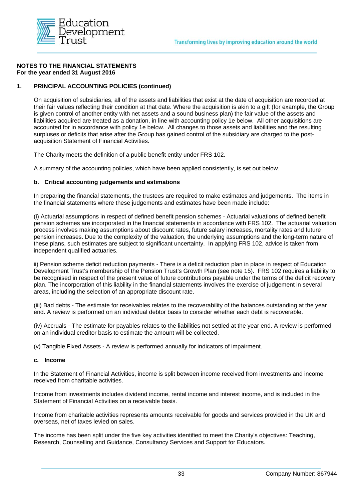

### **1. PRINCIPAL ACCOUNTING POLICIES (continued)**

On acquisition of subsidiaries, all of the assets and liabilities that exist at the date of acquisition are recorded at their fair values reflecting their condition at that date. Where the acquisition is akin to a gift (for example, the Group is given control of another entity with net assets and a sound business plan) the fair value of the assets and liabilities acquired are treated as a donation, in line with accounting policy 1e below. All other acquisitions are accounted for in accordance with policy 1e below. All changes to those assets and liabilities and the resulting surpluses or deficits that arise after the Group has gained control of the subsidiary are charged to the postacquisition Statement of Financial Activities.

The Charity meets the definition of a public benefit entity under FRS 102.

A summary of the accounting policies, which have been applied consistently, is set out below.

#### **b. Critical accounting judgements and estimations**

In preparing the financial statements, the trustees are required to make estimates and judgements. The items in the financial statements where these judgements and estimates have been made include:

(i) Actuarial assumptions in respect of defined benefit pension schemes - Actuarial valuations of defined benefit pension schemes are incorporated in the financial statements in accordance with FRS 102. The actuarial valuation process involves making assumptions about discount rates, future salary increases, mortality rates and future pension increases. Due to the complexity of the valuation, the underlying assumptions and the long-term nature of these plans, such estimates are subject to significant uncertainty. In applying FRS 102, advice is taken from independent qualified actuaries.

ii) Pension scheme deficit reduction payments - There is a deficit reduction plan in place in respect of Education Development Trust's membership of the Pension Trust's Growth Plan (see note 15). FRS 102 requires a liability to be recognised in respect of the present value of future contributions payable under the terms of the deficit recovery plan. The incorporation of this liability in the financial statements involves the exercise of judgement in several areas, including the selection of an appropriate discount rate.

(iii) Bad debts - The estimate for receivables relates to the recoverability of the balances outstanding at the year end. A review is performed on an individual debtor basis to consider whether each debt is recoverable.

(iv) Accruals - The estimate for payables relates to the liabilities not settled at the year end. A review is performed on an individual creditor basis to estimate the amount will be collected.

(v) Tangible Fixed Assets - A review is performed annually for indicators of impairment.

#### **c. Income**

In the Statement of Financial Activities, income is split between income received from investments and income received from charitable activities.

Income from investments includes dividend income, rental income and interest income, and is included in the Statement of Financial Activities on a receivable basis.

Income from charitable activities represents amounts receivable for goods and services provided in the UK and overseas, net of taxes levied on sales.

The income has been split under the five key activities identified to meet the Charity's objectives: Teaching, Research, Counselling and Guidance, Consultancy Services and Support for Educators.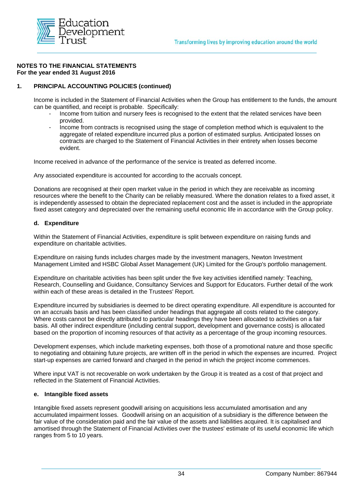

#### **1. PRINCIPAL ACCOUNTING POLICIES (continued)**

Income is included in the Statement of Financial Activities when the Group has entitlement to the funds, the amount can be quantified, and receipt is probable. Specifically:

- Income from tuition and nursery fees is recognised to the extent that the related services have been provided.
- Income from contracts is recognised using the stage of completion method which is equivalent to the aggregate of related expenditure incurred plus a portion of estimated surplus. Anticipated losses on contracts are charged to the Statement of Financial Activities in their entirety when losses become evident.

Income received in advance of the performance of the service is treated as deferred income.

Any associated expenditure is accounted for according to the accruals concept.

Donations are recognised at their open market value in the period in which they are receivable as incoming resources where the benefit to the Charity can be reliably measured. Where the donation relates to a fixed asset, it is independently assessed to obtain the depreciated replacement cost and the asset is included in the appropriate fixed asset category and depreciated over the remaining useful economic life in accordance with the Group policy.

#### **d. Expenditure**

Within the Statement of Financial Activities, expenditure is split between expenditure on raising funds and expenditure on charitable activities.

Expenditure on raising funds includes charges made by the investment managers, Newton Investment Management Limited and HSBC Global Asset Management (UK) Limited for the Group's portfolio management.

Expenditure on charitable activities has been split under the five key activities identified namely: Teaching, Research, Counselling and Guidance, Consultancy Services and Support for Educators. Further detail of the work within each of these areas is detailed in the Trustees' Report.

Expenditure incurred by subsidiaries is deemed to be direct operating expenditure. All expenditure is accounted for on an accruals basis and has been classified under headings that aggregate all costs related to the category. Where costs cannot be directly attributed to particular headings they have been allocated to activities on a fair basis. All other indirect expenditure (including central support, development and governance costs) is allocated based on the proportion of incoming resources of that activity as a percentage of the group incoming resources.

Development expenses, which include marketing expenses, both those of a promotional nature and those specific to negotiating and obtaining future projects, are written off in the period in which the expenses are incurred. Project start-up expenses are carried forward and charged in the period in which the project income commences.

Where input VAT is not recoverable on work undertaken by the Group it is treated as a cost of that project and reflected in the Statement of Financial Activities.

#### **e. Intangible fixed assets**

Intangible fixed assets represent goodwill arising on acquisitions less accumulated amortisation and any accumulated impairment losses. Goodwill arising on an acquisition of a subsidiary is the difference between the fair value of the consideration paid and the fair value of the assets and liabilities acquired. It is capitalised and amortised through the Statement of Financial Activities over the trustees' estimate of its useful economic life which ranges from 5 to 10 years.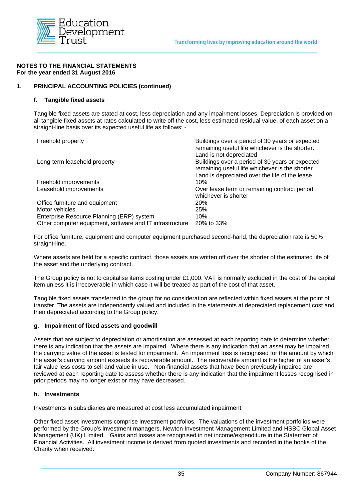

#### **1. PRINCIPAL ACCOUNTING POLICIES (continued)**

#### **f. Tangible fixed assets**

Tangible fixed assets are stated at cost, less depreciation and any impairment losses. Depreciation is provided on all tangible fixed assets at rates calculated to write off the cost, less estimated residual value, of each asset on a straight-line basis over its expected useful life as follows: -

| Freehold property                                        | Buildings over a period of 30 years or expected<br>remaining useful life whichever is the shorter.<br>Land is not depreciated                         |
|----------------------------------------------------------|-------------------------------------------------------------------------------------------------------------------------------------------------------|
| Long-term leasehold property                             | Buildings over a period of 30 years or expected<br>remaining useful life whichever is the shorter.<br>Land is depreciated over the life of the lease. |
| Freehold improvements                                    | 10%                                                                                                                                                   |
| Leasehold improvements                                   | Over lease term or remaining contract period,<br>whichever is shorter                                                                                 |
| Office furniture and equipment                           | <b>20%</b>                                                                                                                                            |
| Motor vehicles                                           | 25%                                                                                                                                                   |
| Enterprise Resource Planning (ERP) system                | 10%                                                                                                                                                   |
| Other computer equipment, software and IT infrastructure | 20% to 33%                                                                                                                                            |

For office furniture, equipment and computer equipment purchased second-hand, the depreciation rate is 50% straight-line.

Where assets are held for a specific contract, those assets are written off over the shorter of the estimated life of the asset and the underlying contract.

The Group policy is not to capitalise items costing under  $£1,000$ . VAT is normally excluded in the cost of the capital item unless it is irrecoverable in which case it will be treated as part of the cost of that asset.

Tangible fixed assets transferred to the group for no consideration are reflected within fixed assets at the point of transfer. The assets are independently valued and included in the statements at depreciated replacement cost and then depreciated according to the Group policy.

#### **g. Impairment of fixed assets and goodwill**

Assets that are subject to depreciation or amortisation are assessed at each reporting date to determine whether there is any indication that the assets are impaired. Where there is any indication that an asset may be impaired, the carrying value of the asset is tested for impairment. An impairment loss is recognised for the amount by which the asset's carrying amount exceeds its recoverable amount. The recoverable amount is the higher of an asset's fair value less costs to sell and value in use. Non-financial assets that have been previously impaired are reviewed at each reporting date to assess whether there is any indication that the impairment losses recognised in prior periods may no longer exist or may have decreased.

#### **h. Investments**

Investments in subsidiaries are measured at cost less accumulated impairment.

Other fixed asset investments comprise investment portfolios. The valuations of the investment portfolios were performed by the Group's investment managers, Newton Investment Management Limited and HSBC Global Asset Management (UK) Limited. Gains and losses are recognised in net income/expenditure in the Statement of Financial Activities. All investment income is derived from quoted investments and recorded in the books of the Charity when received.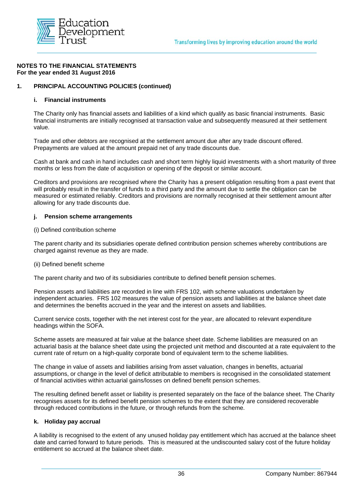

#### **1. PRINCIPAL ACCOUNTING POLICIES (continued)**

#### **i. Financial instruments**

The Charity only has financial assets and liabilities of a kind which qualify as basic financial instruments. Basic financial instruments are initially recognised at transaction value and subsequently measured at their settlement value.

Trade and other debtors are recognised at the settlement amount due after any trade discount offered. Prepayments are valued at the amount prepaid net of any trade discounts due.

Cash at bank and cash in hand includes cash and short term highly liquid investments with a short maturity of three months or less from the date of acquisition or opening of the deposit or similar account.

Creditors and provisions are recognised where the Charity has a present obligation resulting from a past event that will probably result in the transfer of funds to a third party and the amount due to settle the obligation can be measured or estimated reliably. Creditors and provisions are normally recognised at their settlement amount after allowing for any trade discounts due.

#### **j. Pension scheme arrangements**

#### (i) Defined contribution scheme

The parent charity and its subsidiaries operate defined contribution pension schemes whereby contributions are charged against revenue as they are made.

#### (ii) Defined benefit scheme

The parent charity and two of its subsidiaries contribute to defined benefit pension schemes.

Pension assets and liabilities are recorded in line with FRS 102, with scheme valuations undertaken by independent actuaries. FRS 102 measures the value of pension assets and liabilities at the balance sheet date and determines the benefits accrued in the year and the interest on assets and liabilities.

Current service costs, together with the net interest cost for the year, are allocated to relevant expenditure headings within the SOFA.

Scheme assets are measured at fair value at the balance sheet date. Scheme liabilities are measured on an actuarial basis at the balance sheet date using the projected unit method and discounted at a rate equivalent to the current rate of return on a high-quality corporate bond of equivalent term to the scheme liabilities.

The change in value of assets and liabilities arising from asset valuation, changes in benefits, actuarial assumptions, or change in the level of deficit attributable to members is recognised in the consolidated statement of financial activities within actuarial gains/losses on defined benefit pension schemes.

The resulting defined benefit asset or liability is presented separately on the face of the balance sheet. The Charity recognises assets for its defined benefit pension schemes to the extent that they are considered recoverable through reduced contributions in the future, or through refunds from the scheme.

#### **k. Holiday pay accrual**

A liability is recognised to the extent of any unused holiday pay entitlement which has accrued at the balance sheet date and carried forward to future periods. This is measured at the undiscounted salary cost of the future holiday entitlement so accrued at the balance sheet date.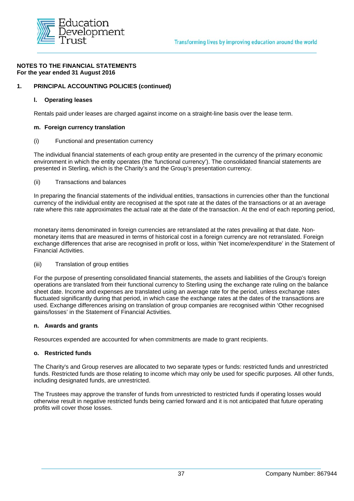

## **1. PRINCIPAL ACCOUNTING POLICIES (continued)**

#### **l. Operating leases**

Rentals paid under leases are charged against income on a straight-line basis over the lease term.

#### **m. Foreign currency translation**

#### (i) Functional and presentation currency

The individual financial statements of each group entity are presented in the currency of the primary economic environment in which the entity operates (the 'functional currency'). The consolidated financial statements are presented in Sterling, which is the Charity's and the Group's presentation currency.

(ii) Transactions and balances

In preparing the financial statements of the individual entities, transactions in currencies other than the functional currency of the individual entity are recognised at the spot rate at the dates of the transactions or at an average rate where this rate approximates the actual rate at the date of the transaction. At the end of each reporting period,

monetary items denominated in foreign currencies are retranslated at the rates prevailing at that date. Nonmonetary items that are measured in terms of historical cost in a foreign currency are not retranslated. Foreign exchange differences that arise are recognised in profit or loss, within 'Net income/expenditure' in the Statement of Financial Activities.

### (iii) Translation of group entities

For the purpose of presenting consolidated financial statements, the assets and liabilities of the Group's foreign operations are translated from their functional currency to Sterling using the exchange rate ruling on the balance sheet date. Income and expenses are translated using an average rate for the period, unless exchange rates fluctuated significantly during that period, in which case the exchange rates at the dates of the transactions are used. Exchange differences arising on translation of group companies are recognised within 'Other recognised gains/losses' in the Statement of Financial Activities.

#### **n. Awards and grants**

Resources expended are accounted for when commitments are made to grant recipients.

#### **o. Restricted funds**

The Charity's and Group reserves are allocated to two separate types or funds: restricted funds and unrestricted funds. Restricted funds are those relating to income which may only be used for specific purposes. All other funds, including designated funds, are unrestricted.

The Trustees may approve the transfer of funds from unrestricted to restricted funds if operating losses would otherwise result in negative restricted funds being carried forward and it is not anticipated that future operating profits will cover those losses.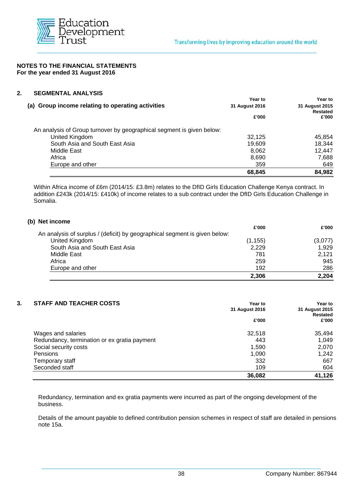

#### **2. SEGMENTAL ANALYSIS**

|                                                                       | Year to        | Year to                           |
|-----------------------------------------------------------------------|----------------|-----------------------------------|
| (a) Group income relating to operating activities                     | 31 August 2016 | 31 August 2015<br><b>Restated</b> |
|                                                                       | £'000          | £'000                             |
| An analysis of Group turnover by geographical segment is given below: |                |                                   |
| United Kingdom                                                        | 32,125         | 45,854                            |
| South Asia and South East Asia                                        | 19,609         | 18,344                            |
| Middle East                                                           | 8,062          | 12,447                            |
| Africa                                                                | 8,690          | 7,688                             |
| Europe and other                                                      | 359            | 649                               |
|                                                                       | 68,845         | 84,982                            |

Within Africa income of £6m (2014/15: £3.8m) relates to the DfID Girls Education Challenge Kenya contract. In addition £243k (2014/15: £410k) of income relates to a sub contract under the DfID Girls Education Challenge in Somalia.

| (b) Net income                                                             |          |         |
|----------------------------------------------------------------------------|----------|---------|
|                                                                            | £'000    | £'000   |
| An analysis of surplus / (deficit) by geographical segment is given below: |          |         |
| United Kingdom                                                             | (1, 155) | (3,077) |
| South Asia and South East Asia                                             | 2.229    | 1.929   |
| Middle East                                                                | 781      | 2,121   |
| Africa                                                                     | 259      | 945     |
| Europe and other                                                           | 192      | 286     |
|                                                                            | 2,306    | 2.204   |

## **3. STAFF AND TEACHER COSTS Year to Year to**

| <b>STALL AND TEACHER COSTS</b>               | τ θαι το<br>31 August 2016 | rear lo<br>31 August 2015<br><b>Restated</b> |
|----------------------------------------------|----------------------------|----------------------------------------------|
|                                              | £'000                      | £'000                                        |
| Wages and salaries                           | 32,518                     | 35,494                                       |
| Redundancy, termination or ex gratia payment | 443                        | 1.049                                        |
| Social security costs                        | 1,590                      | 2,070                                        |
| Pensions                                     | 1,090                      | 1,242                                        |
| Temporary staff                              | 332                        | 667                                          |
| Seconded staff                               | 109                        | 604                                          |
|                                              | 36,082                     | 41,126                                       |

Redundancy, termination and ex gratia payments were incurred as part of the ongoing development of the business.

Details of the amount payable to defined contribution pension schemes in respect of staff are detailed in pensions note 15a.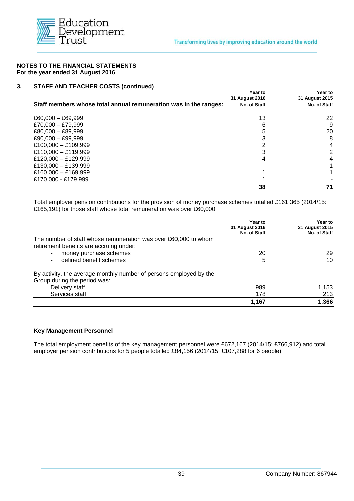

#### **3. STAFF AND TEACHER COSTS (continued)**

|                                                                  | Year to<br>31 August 2016 | Year to<br>31 August 2015 |
|------------------------------------------------------------------|---------------------------|---------------------------|
| Staff members whose total annual remuneration was in the ranges: | No. of Staff              | No. of Staff              |
| $£60,000 - £69,999$                                              | 13                        | 22                        |
| £70,000 $-$ £79,999                                              | 6                         | 9                         |
| $£80,000 - £89,999$                                              | 5                         | 20                        |
| $£90,000 - £99,999$                                              | 3                         | 8                         |
| £100,000 - £109,999                                              | 2                         | 4                         |
| £110,000 - £119,999                                              | 3                         | 2                         |
| £120,000 - £129,999                                              |                           | 4                         |
| £130,000 $-$ £139,999                                            |                           |                           |
| £160,000 $-$ £169,999                                            |                           |                           |
| £170,000 - £179,999                                              |                           |                           |
|                                                                  | 38                        | 71                        |

Total employer pension contributions for the provision of money purchase schemes totalled £161,365 (2014/15: £165,191) for those staff whose total remuneration was over £60,000.

|                                                                    | Year to<br>31 August 2016<br>No. of Staff | Year to<br>31 August 2015<br>No. of Staff |
|--------------------------------------------------------------------|-------------------------------------------|-------------------------------------------|
| The number of staff whose remuneration was over £60,000 to whom    |                                           |                                           |
| retirement benefits are accruing under:                            |                                           |                                           |
| money purchase schemes                                             | 20                                        | 29                                        |
| defined benefit schemes                                            | 5                                         | 10                                        |
| By activity, the average monthly number of persons employed by the |                                           |                                           |
| Group during the period was:                                       |                                           |                                           |
| Delivery staff                                                     | 989                                       | 1,153                                     |
| Services staff                                                     | 178                                       | 213                                       |
|                                                                    | 1,167                                     | 1,366                                     |

#### **Key Management Personnel**

The total employment benefits of the key management personnel were £672,167 (2014/15: £766,912) and total employer pension contributions for 5 people totalled £84,156 (2014/15: £107,288 for 6 people).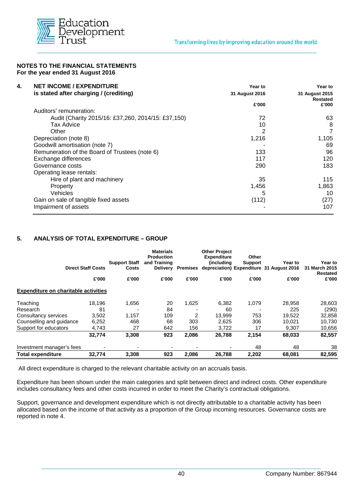

| 4.<br><b>NET INCOME / EXPENDITURE</b>              | Year to        | Year to                           |
|----------------------------------------------------|----------------|-----------------------------------|
| is stated after charging / (crediting)             | 31 August 2016 | 31 August 2015<br><b>Restated</b> |
|                                                    | £'000          | £'000                             |
| Auditors' remuneration:                            |                |                                   |
| Audit (Charity 2015/16: £37,260, 2014/15: £37,150) | 72             | 63                                |
| <b>Tax Advice</b>                                  | 10             | 8                                 |
| Other                                              | 2              | 7                                 |
| Depreciation (note 8)                              | 1,216          | 1,105                             |
| Goodwill amortisation (note 7)                     |                | 69                                |
| Remuneration of the Board of Trustees (note 6)     | 133            | 96                                |
| Exchange differences                               | 117            | 120                               |
| Governance costs                                   | 290            | 183                               |
| Operating lease rentals:                           |                |                                   |
| Hire of plant and machinery                        | 35             | 115                               |
| Property                                           | 1,456          | 1,863                             |
| Vehicles                                           | 5              | 10                                |
| Gain on sale of tangible fixed assets              | (112)          | (27)                              |
| Impairment of assets                               |                | 107                               |

### **5. ANALYSIS OF TOTAL EXPENDITURE – GROUP**

|                                             | <b>Direct Staff Costs</b> | <b>Support Staff</b><br>Costs | <b>Materials</b><br><b>Production</b><br>and Training<br>Delivery | Premises | <b>Other Project</b><br><b>Expenditure</b><br>(including | Other<br><b>Support</b> | Year to<br>depreciation) Expenditure 31 August 2016 | Year to<br>31 March 2015<br><b>Restated</b> |
|---------------------------------------------|---------------------------|-------------------------------|-------------------------------------------------------------------|----------|----------------------------------------------------------|-------------------------|-----------------------------------------------------|---------------------------------------------|
|                                             | £'000                     | £'000                         | £'000                                                             | £'000    | £'000                                                    | £'000                   | £'000                                               | £'000                                       |
| <b>Expenditure on charitable activities</b> |                           |                               |                                                                   |          |                                                          |                         |                                                     |                                             |
| Teaching                                    | 18.196                    | 1,656                         | 20                                                                | 1,625    | 6,382                                                    | 1,079                   | 28,958                                              | 28,603                                      |
| Research                                    | 81                        |                               | 84                                                                |          | 60                                                       |                         | 225                                                 | (290)                                       |
| Consultancy services                        | 3,502                     | 1,157                         | 109                                                               | 2        | 13,999                                                   | 753                     | 19,522                                              | 32,858                                      |
| Counselling and guidance                    | 6,252                     | 468                           | 68                                                                | 303      | 2,625                                                    | 306                     | 10,021                                              | 10,730                                      |
| Support for educators                       | 4,743                     | 27                            | 642                                                               | 156      | 3,722                                                    | 17                      | 9,307                                               | 10,656                                      |
|                                             | 32,774                    | 3,308                         | 923                                                               | 2,086    | 26,788                                                   | 2,154                   | 68,033                                              | 82,557                                      |
| Investment manager's fees                   |                           | $\overline{\phantom{0}}$      |                                                                   |          |                                                          | 48                      | 48                                                  | 38                                          |
| <b>Total expenditure</b>                    | 32,774                    | 3,308                         | 923                                                               | 2,086    | 26,788                                                   | 2,202                   | 68,081                                              | 82,595                                      |

All direct expenditure is charged to the relevant charitable activity on an accruals basis.

Expenditure has been shown under the main categories and split between direct and indirect costs. Other expenditure includes consultancy fees and other costs incurred in order to meet the Charity's contractual obligations.

Support, governance and development expenditure which is not directly attributable to a charitable activity has been allocated based on the income of that activity as a proportion of the Group incoming resources. Governance costs are reported in note 4.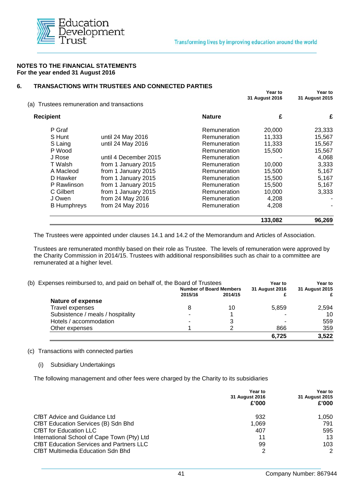

#### **6. TRANSACTIONS WITH TRUSTEES AND CONNECTED PARTIES**

|                    | (a) Trustees remuneration and transactions |               | Year to<br>31 August 2016 | Year to<br>31 August 2015 |
|--------------------|--------------------------------------------|---------------|---------------------------|---------------------------|
| <b>Recipient</b>   |                                            | <b>Nature</b> | £                         | £                         |
| P Graf             |                                            | Remuneration  | 20,000                    | 23,333                    |
| S Hunt             | until 24 May 2016                          | Remuneration  | 11,333                    | 15,567                    |
| S Laing            | until 24 May 2016                          | Remuneration  | 11,333                    | 15,567                    |
| P Wood             |                                            | Remuneration  | 15,500                    | 15,567                    |
| J Rose             | until 4 December 2015                      | Remuneration  |                           | 4,068                     |
| T Walsh            | from 1 January 2015                        | Remuneration  | 10,000                    | 3,333                     |
| A Macleod          | from 1 January 2015                        | Remuneration  | 15,500                    | 5,167                     |
| D Hawker           | from 1 January 2015                        | Remuneration  | 15,500                    | 5,167                     |
| P Rawlinson        | from 1 January 2015                        | Remuneration  | 15,500                    | 5,167                     |
| C Gilbert          | from 1 January 2015                        | Remuneration  | 10,000                    | 3,333                     |
| J Owen             | from 24 May 2016                           | Remuneration  | 4,208                     |                           |
| <b>B</b> Humphreys | from 24 May 2016                           | Remuneration  | 4,208                     |                           |
|                    |                                            |               | 133,082                   | 96,269                    |

The Trustees were appointed under clauses 14.1 and 14.2 of the Memorandum and Articles of Association.

Trustees are remunerated monthly based on their role as Trustee. The levels of remuneration were approved by the Charity Commission in 2014/15. Trustees with additional responsibilities such as chair to a committee are remunerated at a higher level.

| Year to        | Year to        | (b) Expenses reimbursed to, and paid on behalf of, the Board of Trustees |         |                                   |
|----------------|----------------|--------------------------------------------------------------------------|---------|-----------------------------------|
| 31 August 2015 | 31 August 2016 | <b>Number of Board Members</b>                                           |         |                                   |
|                |                | 2014/15                                                                  | 2015/16 |                                   |
|                |                |                                                                          |         | <b>Nature of expense</b>          |
| 2,594          | 5.859          | 10                                                                       |         | Travel expenses                   |
| 10             |                |                                                                          |         | Subsistence / meals / hospitality |
| 559            |                | 3                                                                        |         | Hotels / accommodation            |
| 359            | 866            |                                                                          |         | Other expenses                    |
| 3,522          | 6.725          |                                                                          |         |                                   |

#### (c) Transactions with connected parties

(i) Subsidiary Undertakings

The following management and other fees were charged by the Charity to its subsidiaries

|                                                 | Year to<br>31 August 2016<br>£'000 | Year to<br>31 August 2015<br>£'000 |
|-------------------------------------------------|------------------------------------|------------------------------------|
| CfBT Advice and Guidance Ltd                    | 932                                | 1.050                              |
| CfBT Education Services (B) Sdn Bhd             | 1.069                              | 791                                |
| CfBT for Education LLC                          | 407                                | 595                                |
| International School of Cape Town (Pty) Ltd     | 11                                 | 13                                 |
| <b>CfBT Education Services and Partners LLC</b> | 99                                 | 103                                |
| CfBT Multimedia Education Sdn Bhd               | 2                                  | 2                                  |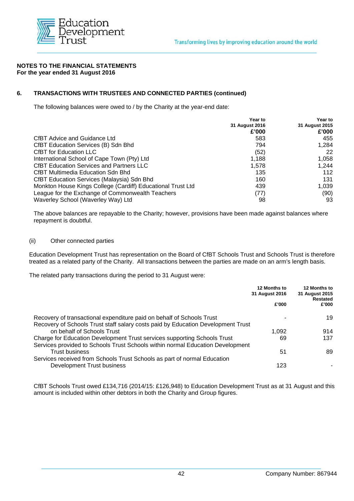

#### **6. TRANSACTIONS WITH TRUSTEES AND CONNECTED PARTIES (continued)**

The following balances were owed to / by the Charity at the year-end date:

|                                                             | Year to<br>31 August 2016<br>£'000 | Year to<br>31 August 2015<br>£'000 |
|-------------------------------------------------------------|------------------------------------|------------------------------------|
| CfBT Advice and Guidance Ltd                                | 583                                | 455                                |
| CfBT Education Services (B) Sdn Bhd                         | 794                                | 1.284                              |
| <b>CfBT</b> for Education LLC                               | (52)                               | 22                                 |
| International School of Cape Town (Pty) Ltd                 | 1,188                              | 1,058                              |
| <b>CfBT Education Services and Partners LLC</b>             | 1,578                              | 1.244                              |
| CfBT Multimedia Education Sdn Bhd                           | 135                                | 112                                |
| CfBT Education Services (Malaysia) Sdn Bhd                  | 160                                | 131                                |
| Monkton House Kings College (Cardiff) Educational Trust Ltd | 439                                | 1,039                              |
| League for the Exchange of Commonwealth Teachers            | (77)                               | (90)                               |
| Waverley School (Waverley Way) Ltd                          | 98                                 | 93                                 |

The above balances are repayable to the Charity; however, provisions have been made against balances where repayment is doubtful.

#### (ii) Other connected parties

Education Development Trust has representation on the Board of CfBT Schools Trust and Schools Trust is therefore treated as a related party of the Charity. All transactions between the parties are made on an arm's length basis.

The related party transactions during the period to 31 August were:

|                                                                                                                | 12 Months to<br>31 August 2016 | 12 Months to<br>31 August 2015<br><b>Restated</b><br>£'000 |
|----------------------------------------------------------------------------------------------------------------|--------------------------------|------------------------------------------------------------|
|                                                                                                                | £'000                          |                                                            |
| Recovery of transactional expenditure paid on behalf of Schools Trust                                          |                                | 19                                                         |
| Recovery of Schools Trust staff salary costs paid by Education Development Trust<br>on behalf of Schools Trust | 1.092                          | 914                                                        |
| Charge for Education Development Trust services supporting Schools Trust                                       | 69                             | 137                                                        |
| Services provided to Schools Trust Schools within normal Education Development                                 |                                |                                                            |
| Trust business<br>Services received from Schools Trust Schools as part of normal Education                     | 51                             | 89                                                         |
| Development Trust business                                                                                     | 123                            |                                                            |

CfBT Schools Trust owed £134,716 (2014/15: £126,948) to Education Development Trust as at 31 August and this amount is included within other debtors in both the Charity and Group figures.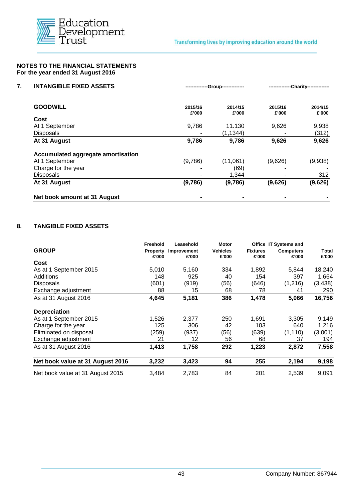

| <b>INTANGIBLE FIXED ASSETS</b>     |                  | -------------Group-------------- | --Charity-------------- |                  |  |
|------------------------------------|------------------|----------------------------------|-------------------------|------------------|--|
| <b>GOODWILL</b>                    | 2015/16<br>£'000 | 2014/15<br>£'000                 | 2015/16<br>£'000        | 2014/15<br>£'000 |  |
| Cost                               |                  |                                  |                         |                  |  |
| At 1 September                     | 9,786            | 11.130                           | 9,626                   | 9,938            |  |
| <b>Disposals</b>                   |                  | (1, 1344)                        |                         | (312)            |  |
| At 31 August                       | 9,786            | 9,786                            | 9,626                   | 9,626            |  |
| Accumulated aggregate amortisation |                  |                                  |                         |                  |  |
| At 1 September                     | (9,786)          | (11,061)                         | (9,626)                 | (9,938)          |  |
| Charge for the year                |                  | (69)                             |                         |                  |  |
| <b>Disposals</b>                   |                  | 1,344                            |                         | 312              |  |
| At 31 August                       | (9,786)          | (9,786)                          | (9,626)                 | (9,626)          |  |
| Net book amount at 31 August       |                  |                                  |                         |                  |  |

## **8. TANGIBLE FIXED ASSETS**

| <b>GROUP</b>                     | Freehold<br><b>Property</b> | Leasehold<br>Improvement | <b>Motor</b><br><b>Vehicles</b> | <b>Fixtures</b> | Office IT Systems and<br><b>Computers</b> | Total    |
|----------------------------------|-----------------------------|--------------------------|---------------------------------|-----------------|-------------------------------------------|----------|
|                                  | £'000                       | £'000                    | £'000                           | £'000           | £'000                                     | £'000    |
| Cost                             |                             |                          |                                 |                 |                                           |          |
| As at 1 September 2015           | 5,010                       | 5,160                    | 334                             | 1,892           | 5,844                                     | 18,240   |
| <b>Additions</b>                 | 148                         | 925                      | 40                              | 154             | 397                                       | 1.664    |
| <b>Disposals</b>                 | (601)                       | (919)                    | (56)                            | (646)           | (1,216)                                   | (3, 438) |
| Exchange adjustment              | 88                          | 15                       | 68                              | 78              | 41                                        | 290      |
| As at 31 August 2016             | 4,645                       | 5,181                    | 386                             | 1,478           | 5,066                                     | 16,756   |
| <b>Depreciation</b>              |                             |                          |                                 |                 |                                           |          |
| As at 1 September 2015           | 1,526                       | 2.377                    | 250                             | 1,691           | 3.305                                     | 9,149    |
| Charge for the year              | 125                         | 306                      | 42                              | 103             | 640                                       | 1,216    |
| Eliminated on disposal           | (259)                       | (937)                    | (56)                            | (639)           | (1, 110)                                  | (3,001)  |
| Exchange adjustment              | 21                          | 12                       | 56                              | 68              | 37                                        | 194      |
| As at 31 August 2016             | 1,413                       | 1,758                    | 292                             | 1,223           | 2,872                                     | 7,558    |
| Net book value at 31 August 2016 | 3,232                       | 3,423                    | 94                              | 255             | 2,194                                     | 9,198    |
| Net book value at 31 August 2015 | 3.484                       | 2.783                    | 84                              | 201             | 2,539                                     | 9,091    |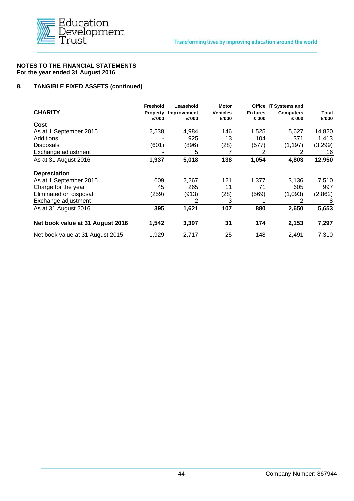

### **8. TANGIBLE FIXED ASSETS (continued)**

| <b>CHARITY</b>                   | Freehold<br><b>Property</b> | Leasehold<br>Improvement | <b>Motor</b><br><b>Vehicles</b> | <b>Fixtures</b> | <b>Office IT Systems and</b><br><b>Computers</b> | Total   |
|----------------------------------|-----------------------------|--------------------------|---------------------------------|-----------------|--------------------------------------------------|---------|
| Cost                             | £'000                       | £'000                    | £'000                           | £'000           | £'000                                            | £'000   |
| As at 1 September 2015           | 2,538                       | 4,984                    | 146                             | 1,525           | 5,627                                            | 14,820  |
| Additions                        |                             | 925                      | 13                              | 104             | 371                                              | 1,413   |
| <b>Disposals</b>                 | (601)                       | (896)                    | (28)                            | (577)           | (1, 197)                                         | (3,299) |
| Exchange adjustment              |                             | 5                        |                                 | 2               | 2                                                | 16      |
| As at 31 August 2016             | 1,937                       | 5,018                    | 138                             | 1,054           | 4,803                                            | 12,950  |
| <b>Depreciation</b>              |                             |                          |                                 |                 |                                                  |         |
| As at 1 September 2015           | 609                         | 2,267                    | 121                             | 1.377           | 3.136                                            | 7,510   |
| Charge for the year              | 45                          | 265                      | 11                              | 71              | 605                                              | 997     |
| Eliminated on disposal           | (259)                       | (913)                    | (28)                            | (569)           | (1,093)                                          | (2,862) |
| Exchange adjustment              |                             | 2                        | 3                               |                 | 2                                                | 8       |
| As at 31 August 2016             | 395                         | 1,621                    | 107                             | 880             | 2,650                                            | 5,653   |
| Net book value at 31 August 2016 | 1,542                       | 3,397                    | 31                              | 174             | 2,153                                            | 7,297   |
| Net book value at 31 August 2015 | 1,929                       | 2,717                    | 25                              | 148             | 2,491                                            | 7,310   |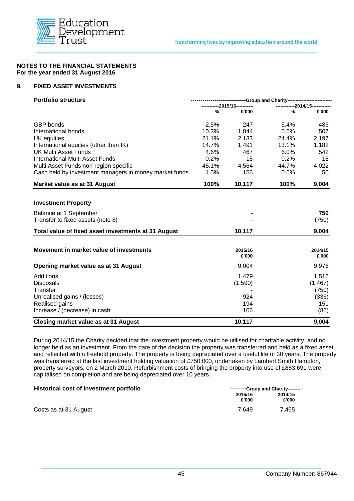

#### **9. FIXED ASSET INVESTMENTS**

| <b>Portfolio structure</b>                                  | ------------------------Group and Charity--------------------------- |                               |                                 |                  |  |  |
|-------------------------------------------------------------|----------------------------------------------------------------------|-------------------------------|---------------------------------|------------------|--|--|
|                                                             |                                                                      | -----------2015/16----------- | ------------2014/15------------ |                  |  |  |
|                                                             | $\frac{9}{6}$                                                        | £'000                         | %                               | £'000            |  |  |
| <b>GBP</b> bonds                                            | 2.5%                                                                 | 247                           | 5.4%                            | 486              |  |  |
| International bonds                                         | 10.3%                                                                | 1,044                         | 5.6%                            | 507              |  |  |
| UK equities                                                 | 21.1%                                                                | 2,133                         | 24.4%                           | 2,197            |  |  |
| International equities (other than IK)                      | 14.7%                                                                | 1,491                         | 13.1%                           | 1,182            |  |  |
| <b>UK Multi Asset Funds</b>                                 | 4.6%                                                                 | 467                           | 6.0%                            | 542              |  |  |
| International Multi Asset Funds                             | 0.2%                                                                 | 15                            | 0.2%                            | 18               |  |  |
| Multi Asset Funds non-region specific                       | 45.1%                                                                | 4,564                         | 44.7%                           | 4,022            |  |  |
| Cash held by investment managers in money market funds      | 1.5%                                                                 | 156                           | 0.6%                            | 50               |  |  |
| Market value as at 31 August                                | 100%                                                                 | 10,117                        | 100%                            | 9,004            |  |  |
| Balance at 1 September<br>Transfer to fixed assets (note 8) |                                                                      |                               |                                 | 750<br>(750)     |  |  |
| Total value of fixed asset investments at 31 August         |                                                                      | 10,117                        |                                 | 9,004            |  |  |
|                                                             |                                                                      |                               |                                 |                  |  |  |
| Movement in market value of investments                     |                                                                      | 2015/16<br>£'000              |                                 | 2014/15<br>£'000 |  |  |
| Opening market value as at 31 August                        |                                                                      | 9,004                         |                                 | 9,976            |  |  |
| Additions                                                   |                                                                      | 1,479                         |                                 | 1,516            |  |  |
| <b>Disposals</b>                                            |                                                                      | (1,590)                       |                                 | (1, 467)         |  |  |
| Transfer                                                    |                                                                      |                               |                                 | (750)            |  |  |
| Unrealised gains / (losses)                                 |                                                                      | 924                           |                                 | (336)            |  |  |
| Realised gains                                              |                                                                      | 194                           |                                 | 151              |  |  |
| Increase / (decrease) in cash                               |                                                                      | 106                           |                                 | (86)             |  |  |
| Closing market value as at 31 August                        |                                                                      | 10,117                        |                                 | 9.004            |  |  |

During 2014/15 the Charity decided that the investment property would be utilised for charitable activity, and no longer held as an investment. From the date of the decision the property was transferred and held as a fixed asset and reflected within freehold property. The property is being depreciated over a useful life of 30 years. The property was transferred at the last investment holding valuation of £750,000, undertaken by Lambert Smith Hampton, property surveyors, on 2 March 2010. Refurbishment costs of bringing the property into use of £883,691 were capitalised on completion and are being depreciated over 10 years.

| Historical cost of investment portfolio | --------Group and Charity-------- |                  |  |
|-----------------------------------------|-----------------------------------|------------------|--|
|                                         | 2015/16<br>£'000                  | 2014/15<br>£'000 |  |
| Costs as at 31 August                   | 7.649                             | 7.465            |  |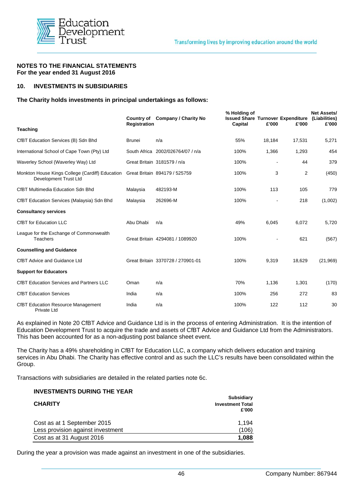

#### **10. INVESTMENTS IN SUBSIDIARIES**

#### **The Charity holds investments in principal undertakings as follows:**

|                                                                          | <b>Country of</b><br>Registration | <b>Company / Charity No</b>       | % Holding of<br><b>Issued Share Turnover Expenditure</b><br>Capital | £'000                    | £'000  | <b>Net Assets/</b><br>(Liabilities)<br>£'000 |
|--------------------------------------------------------------------------|-----------------------------------|-----------------------------------|---------------------------------------------------------------------|--------------------------|--------|----------------------------------------------|
| <b>Teaching</b>                                                          |                                   |                                   |                                                                     |                          |        |                                              |
| CfBT Education Services (B) Sdn Bhd                                      | <b>Brunei</b>                     | n/a                               | 55%                                                                 | 18,184                   | 17,531 | 5,271                                        |
| International School of Cape Town (Pty) Ltd                              |                                   | South Africa 2002/026764/07 / n/a | 100%                                                                | 1,366                    | 1,293  | 454                                          |
| Waverley School (Waverley Way) Ltd                                       |                                   | Great Britain 3181579 / n/a       | 100%                                                                | $\blacksquare$           | 44     | 379                                          |
| Monkton House Kings College (Cardiff) Education<br>Development Trust Ltd |                                   | Great Britain 894179 / 525759     | 100%                                                                | 3                        | 2      | (450)                                        |
| <b>CfBT Multimedia Education Sdn Bhd</b>                                 | Malaysia                          | 482193-M                          | 100%                                                                | 113                      | 105    | 779                                          |
| CfBT Education Services (Malaysia) Sdn Bhd                               | Malaysia                          | 262696-M                          | 100%                                                                | $\overline{\phantom{a}}$ | 218    | (1,002)                                      |
| <b>Consultancy services</b>                                              |                                   |                                   |                                                                     |                          |        |                                              |
| <b>CfBT</b> for Education LLC                                            | Abu Dhabi                         | n/a                               | 49%                                                                 | 6,045                    | 6,072  | 5,720                                        |
| League for the Exchange of Commonwealth<br><b>Teachers</b>               |                                   | Great Britain 4294081 / 1089920   | 100%                                                                |                          | 621    | (567)                                        |
| <b>Counselling and Guidance</b>                                          |                                   |                                   |                                                                     |                          |        |                                              |
| CfBT Advice and Guidance Ltd                                             |                                   | Great Britain 3370728 / 270901-01 | 100%                                                                | 9,319                    | 18,629 | (21, 969)                                    |
| <b>Support for Educators</b>                                             |                                   |                                   |                                                                     |                          |        |                                              |
| <b>CfBT Education Services and Partners LLC</b>                          | Oman                              | n/a                               | 70%                                                                 | 1,136                    | 1,301  | (170)                                        |
| <b>CfBT Education Services</b>                                           | India                             | n/a                               | 100%                                                                | 256                      | 272    | 83                                           |
| <b>CfBT Education Resource Management</b><br>Private Ltd                 | India                             | n/a                               | 100%                                                                | 122                      | 112    | 30                                           |

As explained in Note 20 CfBT Advice and Guidance Ltd is in the process of entering Administration. It is the intention of Education Development Trust to acquire the trade and assets of CfBT Advice and Guidance Ltd from the Administrators. This has been accounted for as a non-adjusting post balance sheet event.

The Charity has a 49% shareholding in CfBT for Education LLC, a company which delivers education and training services in Abu Dhabi. The Charity has effective control and as such the LLC's results have been consolidated within the Group.

Transactions with subsidiaries are detailed in the related parties note 6c.

#### **INVESTMENTS DURING THE YEAR**

| <b>INVESTMENTS DURING THE TEAN</b><br><b>CHARITY</b>             | Subsidiary<br><b>Investment Total</b><br>£'000 |
|------------------------------------------------------------------|------------------------------------------------|
| Cost as at 1 September 2015<br>Less provision against investment | 1.194<br>(106)                                 |
| Cost as at 31 August 2016                                        | 1.088                                          |

During the year a provision was made against an investment in one of the subsidiaries.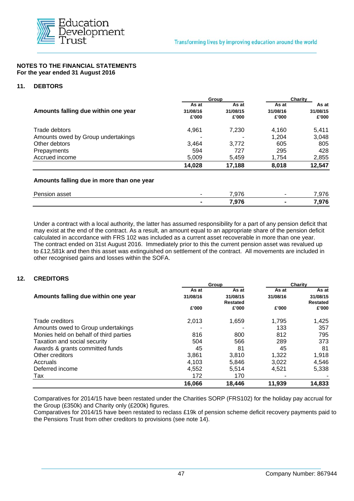

#### **11. DEBTORS**

|                                           |          | Group    | Charity  |          |  |
|-------------------------------------------|----------|----------|----------|----------|--|
|                                           | As at    | As at    | As at    | As at    |  |
| Amounts falling due within one year       | 31/08/16 | 31/08/15 | 31/08/16 | 31/08/15 |  |
|                                           | £'000    | £'000    | £'000    | £'000    |  |
| Trade debtors                             | 4,961    | 7,230    | 4,160    | 5,411    |  |
| Amounts owed by Group undertakings        |          |          | 1,204    | 3,048    |  |
| Other debtors                             | 3,464    | 3,772    | 605      | 805      |  |
| Prepayments                               | 594      | 727      | 295      | 428      |  |
| Accrued income                            | 5,009    | 5,459    | 1.754    | 2,855    |  |
|                                           | 14,028   | 17,188   | 8,018    | 12,547   |  |
| Amounts falling due in more than one year |          |          |          |          |  |
| Pension asset                             |          | 7,976    |          | 7,976    |  |
|                                           |          | 7,976    |          | 7,976    |  |

Under a contract with a local authority, the latter has assumed responsibility for a part of any pension deficit that may exist at the end of the contract. As a result, an amount equal to an appropriate share of the pension deficit calculated in accordance with FRS 102 was included as a current asset recoverable in more than one year. The contract ended on 31st August 2016. Immediately prior to this the current pension asset was revalued up to £12,581k and then this asset was extinguished on settlement of the contract. All movements are included in other recognised gains and losses within the SOFA.

## **12. CREDITORS**

|                                        |          | Group    | Charity  |                 |  |
|----------------------------------------|----------|----------|----------|-----------------|--|
|                                        | As at    | As at    | As at    | As at           |  |
| Amounts falling due within one year    | 31/08/16 | 31/08/15 | 31/08/16 | 31/08/15        |  |
|                                        |          | Restated |          | <b>Restated</b> |  |
|                                        | £'000    | £'000    | £'000    | £'000           |  |
| Trade creditors                        | 2,013    | 1,659    | 1.795    | 1,425           |  |
| Amounts owed to Group undertakings     |          |          | 133      | 357             |  |
| Monies held on behalf of third parties | 816      | 800      | 812      | 795             |  |
| Taxation and social security           | 504      | 566      | 289      | 373             |  |
| Awards & grants committed funds        | 45       | 81       | 45       | 81              |  |
| Other creditors                        | 3.861    | 3.810    | 1.322    | 1,918           |  |
| Accruals                               | 4.103    | 5.846    | 3.022    | 4,546           |  |
| Deferred income                        | 4,552    | 5,514    | 4,521    | 5,338           |  |
| Tax                                    | 172      | 170      |          |                 |  |
|                                        | 16.066   | 18.446   | 11,939   | 14,833          |  |

Comparatives for 2014/15 have been restated under the Charities SORP (FRS102) for the holiday pay accrual for the Group (£350k) and Charity only (£200k) figures.

Comparatives for 2014/15 have been restated to reclass £19k of pension scheme deficit recovery payments paid to the Pensions Trust from other creditors to provisions (see note 14).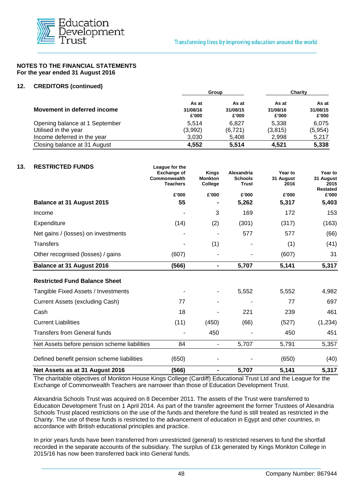

#### **12. CREDITORS (continued)**

|                                | Group             | Charity           |                   |                   |
|--------------------------------|-------------------|-------------------|-------------------|-------------------|
|                                | As at             | As at             | As at             | As at             |
| Movement in deferred income    | 31/08/16<br>£'000 | 31/08/15<br>£'000 | 31/08/16<br>£'000 | 31/08/15<br>£'000 |
| Opening balance at 1 September | 5.514             | 6.827             | 5.338             | 6.075             |
| Utilised in the year           | (3,992)           | (6, 721)          | (3, 815)          | (5,954)           |
| Income deferred in the year    | 3,030             | 5,408             | 2,998             | 5,217             |
| Closing balance at 31 August   | 4,552             | 5.514             | 4,521             | 5,338             |

#### **13. RESTRICTED FUNDS League for the**

|                                              | -vuguv 1v. 111v<br><b>Exchange of</b><br><b>Commonwealth</b><br><b>Teachers</b> | <b>Kings</b><br><b>Monkton</b><br>College | Alexandria<br><b>Schools</b><br><b>Trust</b> | Year to<br>31 August<br>2016 | Year to<br>31 August<br>2015<br><b>Restated</b> |
|----------------------------------------------|---------------------------------------------------------------------------------|-------------------------------------------|----------------------------------------------|------------------------------|-------------------------------------------------|
| <b>Balance at 31 August 2015</b>             | £'000<br>55                                                                     | £'000                                     | £'000<br>5,262                               | £'000<br>5,317               | £'000<br>5,403                                  |
|                                              |                                                                                 |                                           |                                              |                              |                                                 |
| Income                                       |                                                                                 | 3                                         | 169                                          | 172                          | 153                                             |
| Expenditure                                  | (14)                                                                            | (2)                                       | (301)                                        | (317)                        | (163)                                           |
| Net gains / (losses) on investments          |                                                                                 |                                           | 577                                          | 577                          | (66)                                            |
| <b>Transfers</b>                             |                                                                                 | (1)                                       |                                              | (1)                          | (41)                                            |
| Other recognised (losses) / gains            | (607)                                                                           |                                           |                                              | (607)                        | 31                                              |
| <b>Balance at 31 August 2016</b>             | (566)                                                                           |                                           | 5,707                                        | 5,141                        | 5,317                                           |
| <b>Restricted Fund Balance Sheet</b>         |                                                                                 |                                           |                                              |                              |                                                 |
| Tangible Fixed Assets / Investments          |                                                                                 | ٠                                         | 5,552                                        | 5,552                        | 4,982                                           |
| Current Assets (excluding Cash)              | 77                                                                              |                                           |                                              | 77                           | 697                                             |
| Cash                                         | 18                                                                              |                                           | 221                                          | 239                          | 461                                             |
| <b>Current Liabilities</b>                   | (11)                                                                            | (450)                                     | (66)                                         | (527)                        | (1, 234)                                        |
| <b>Transfers from General funds</b>          |                                                                                 | 450                                       |                                              | 450                          | 451                                             |
| Net Assets before pension scheme liabilities | 84                                                                              | $\blacksquare$                            | 5,707                                        | 5,791                        | 5,357                                           |
| Defined benefit pension scheme liabilities   | (650)                                                                           |                                           |                                              | (650)                        | (40)                                            |
| Net Assets as at 31 August 2016              | (566)                                                                           |                                           | 5,707                                        | 5,141                        | 5,317                                           |

The charitable objectives of Monkton House Kings College (Cardiff) Educational Trust Ltd and the League for the Exchange of Commonwealth Teachers are narrower than those of Education Development Trust.

Alexandria Schools Trust was acquired on 8 December 2011. The assets of the Trust were transferred to Education Development Trust on 1 April 2014. As part of the transfer agreement the former Trustees of Alexandria Schools Trust placed restrictions on the use of the funds and therefore the fund is still treated as restricted in the Charity. The use of these funds is restricted to the advancement of education in Egypt and other countries, in accordance with British educational principles and practice.

In prior years funds have been transferred from unrestricted (general) to restricted reserves to fund the shortfall recorded in the separate accounts of the subsidiary. The surplus of £1k generated by Kings Monkton College in 2015/16 has now been transferred back into General funds.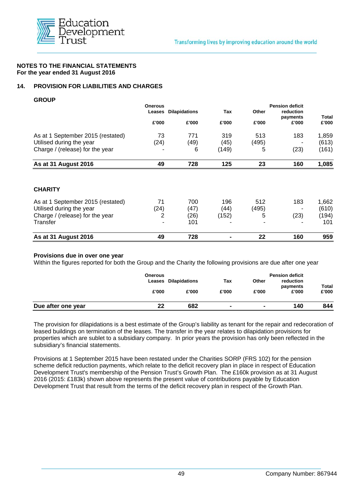

#### **14. PROVISION FOR LIABILITIES AND CHARGES**

| Transfer                          | ۰              | 101                  |       |                   |                        | 101   |
|-----------------------------------|----------------|----------------------|-------|-------------------|------------------------|-------|
| Charge / (release) for the year   | 2              | (26)                 | (152) | 5                 | (23)                   | (194) |
| Utilised during the year          | (24)           | (47)                 | (44)  | (495)             |                        | (610) |
| As at 1 September 2015 (restated) | 71             | 700                  | 196   | 512               | 183                    | 1,662 |
| <b>CHARITY</b>                    |                |                      |       |                   |                        |       |
|                                   |                |                      |       |                   |                        |       |
| As at 31 August 2016              | 49             | 728                  | 125   | 23                | 160                    | 1,085 |
| Charge / (release) for the year   |                | 6                    | (149) | 5                 | (23)                   | (161) |
| Utilised during the year          | (24)           | (49)                 | (45)  | (495)             |                        | (613) |
| As at 1 September 2015 (restated) | 73             | 771                  | 319   | 513               | 183                    | 1,859 |
| £'000                             | £'000          | £'000                | £'000 | payments<br>£'000 | Total<br>£'000         |       |
|                                   | Leases         | <b>Dilapidations</b> | Tax   | Other             | reduction              |       |
| <b>GROUP</b>                      | <b>Onerous</b> |                      |       |                   | <b>Pension deficit</b> |       |

#### **Provisions due in over one year**

Within the figures reported for both the Group and the Charity the following provisions are due after one year

| £'000          | £'000                | £'000 | £'000 | £'000                               | £'000 |
|----------------|----------------------|-------|-------|-------------------------------------|-------|
|                |                      |       |       |                                     |       |
|                |                      |       |       | payments                            | Total |
| <b>Onerous</b> | Leases Dilapidations | Tax   | Other | <b>Pension deficit</b><br>reduction |       |

The provision for dilapidations is a best estimate of the Group's liability as tenant for the repair and redecoration of leased buildings on termination of the leases. The transfer in the year relates to dilapidation provisions for properties which are sublet to a subsidiary company. In prior years the provision has only been reflected in the subsidiary's financial statements.

Provisions at 1 September 2015 have been restated under the Charities SORP (FRS 102) for the pension scheme deficit reduction payments, which relate to the deficit recovery plan in place in respect of Education Development Trust's membership of the Pension Trust's Growth Plan. The £160k provision as at 31 August 2016 (2015: £183k) shown above represents the present value of contributions payable by Education Development Trust that result from the terms of the deficit recovery plan in respect of the Growth Plan.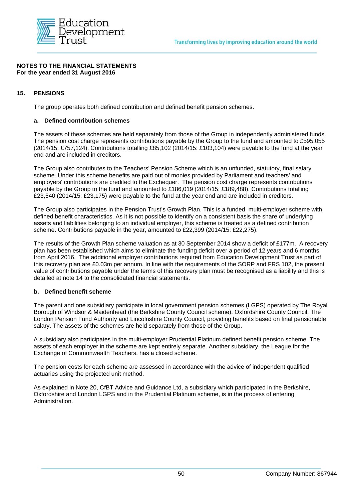

### **15. PENSIONS**

The group operates both defined contribution and defined benefit pension schemes.

#### **a. Defined contribution schemes**

The assets of these schemes are held separately from those of the Group in independently administered funds. The pension cost charge represents contributions payable by the Group to the fund and amounted to £595,055 (2014/15: £757,124). Contributions totalling £85,102 (2014/15: £103,104) were payable to the fund at the year end and are included in creditors.

The Group also contributes to the Teachers' Pension Scheme which is an unfunded, statutory, final salary scheme. Under this scheme benefits are paid out of monies provided by Parliament and teachers' and employers' contributions are credited to the Exchequer. The pension cost charge represents contributions payable by the Group to the fund and amounted to £186,019 (2014/15: £189,488). Contributions totalling £23,540 (2014/15: £23,175) were payable to the fund at the year end and are included in creditors.

The Group also participates in the Pension Trust's Growth Plan. This is a funded, multi-employer scheme with defined benefit characteristics. As it is not possible to identify on a consistent basis the share of underlying assets and liabilities belonging to an individual employer, this scheme is treated as a defined contribution scheme. Contributions payable in the year, amounted to £22,399 (2014/15: £22,275).

The results of the Growth Plan scheme valuation as at 30 September 2014 show a deficit of £177m. A recovery plan has been established which aims to eliminate the funding deficit over a period of 12 years and 6 months from April 2016. The additional employer contributions required from Education Development Trust as part of this recovery plan are £0.03m per annum. In line with the requirements of the SORP and FRS 102, the present value of contributions payable under the terms of this recovery plan must be recognised as a liability and this is detailed at note 14 to the consolidated financial statements.

#### **b. Defined benefit scheme**

The parent and one subsidiary participate in local government pension schemes (LGPS) operated by The Royal Borough of Windsor & Maidenhead (the Berkshire County Council scheme), Oxfordshire County Council, The London Pension Fund Authority and Lincolnshire County Council, providing benefits based on final pensionable salary. The assets of the schemes are held separately from those of the Group.

A subsidiary also participates in the multi-employer Prudential Platinum defined benefit pension scheme. The assets of each employer in the scheme are kept entirely separate. Another subsidiary, the League for the Exchange of Commonwealth Teachers, has a closed scheme.

The pension costs for each scheme are assessed in accordance with the advice of independent qualified actuaries using the projected unit method.

As explained in Note 20, CfBT Advice and Guidance Ltd, a subsidiary which participated in the Berkshire, Oxfordshire and London LGPS and in the Prudential Platinum scheme, is in the process of entering Administration.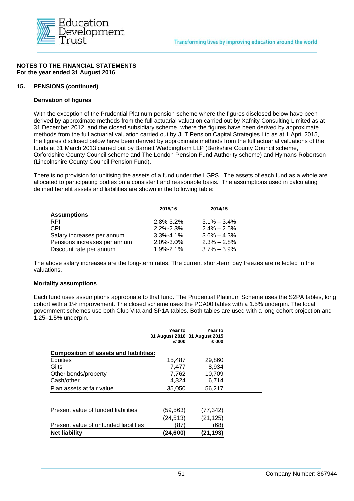

#### **15. PENSIONS (continued)**

#### **Derivation of figures**

With the exception of the Prudential Platinum pension scheme where the figures disclosed below have been derived by approximate methods from the full actuarial valuation carried out by Xafnity Consulting Limited as at 31 December 2012, and the closed subsidiary scheme, where the figures have been derived by approximate methods from the full actuarial valuation carried out by JLT Pension Capital Strategies Ltd as at 1 April 2015, the figures disclosed below have been derived by approximate methods from the full actuarial valuations of the funds at 31 March 2013 carried out by Barnett Waddingham LLP (Berkshire County Council scheme, Oxfordshire County Council scheme and The London Pension Fund Authority scheme) and Hymans Robertson (Lincolnshire County Council Pension Fund).

There is no provision for unitising the assets of a fund under the LGPS. The assets of each fund as a whole are allocated to participating bodies on a consistent and reasonable basis. The assumptions used in calculating defined benefit assets and liabilities are shown in the following table:

|                              | 2015/16         | 2014/15         |
|------------------------------|-----------------|-----------------|
| <b>Assumptions</b>           |                 |                 |
| <b>RPI</b>                   | 2.8%-3.2%       | $3.1\% - 3.4\%$ |
| CPI                          | $2.2\% - 2.3\%$ | $2.4\% - 2.5\%$ |
| Salary increases per annum   | $3.3\% - 4.1\%$ | $3.6\% - 4.3\%$ |
| Pensions increases per annum | 2.0%-3.0%       | $2.3\% - 2.8\%$ |
| Discount rate per annum      | 1.9%-2.1%       | $3.7\% - 3.9\%$ |

The above salary increases are the long-term rates. The current short-term pay freezes are reflected in the valuations.

#### **Mortality assumptions**

Each fund uses assumptions appropriate to that fund. The Prudential Platinum Scheme uses the S2PA tables, long cohort with a 1% improvement. The closed scheme uses the PCA00 tables with a 1.5% underpin. The local government schemes use both Club Vita and SP1A tables. Both tables are used with a long cohort projection and 1.25–1.5% underpin.

|                                               | Year to<br>31 August 2016 31 August 2015<br>£'000 | Year to<br>£'000 |
|-----------------------------------------------|---------------------------------------------------|------------------|
| <b>Composition of assets and liabilities:</b> |                                                   |                  |
| Equities                                      | 15,487                                            | 29,860           |
| Gilts                                         | 7,477                                             | 8,934            |
| Other bonds/property                          | 7,762                                             | 10,709           |
| Cash/other                                    | 4,324                                             | 6,714            |
| Plan assets at fair value                     | 35,050                                            | 56,217           |
| Present value of funded liabilities           | (59,563)                                          | (77,342)         |
|                                               | (24, 513)                                         | (21, 125)        |
| Present value of unfunded liabilities         | (87)                                              | (68)             |
| <b>Net liability</b>                          | (24, 600)                                         | (21,193)         |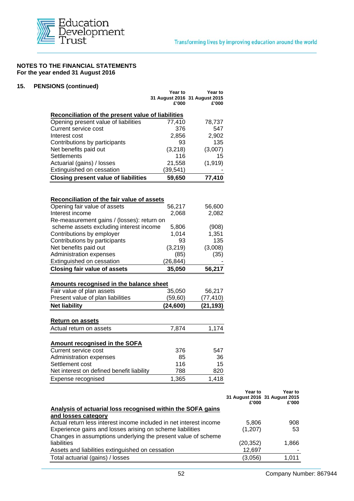

### **15. PENSIONS (continued)**

| Reconciliation of the present value of liabilities<br>Opening present value of liabilities<br>77,410<br>Current service cost<br>Interest cost<br>Contributions by participants<br>Net benefits paid out<br>(3,218)<br>Settlements<br>Actuarial (gains) / losses<br>21,558<br>Extinguished on cessation<br>(39, 541)<br><b>Closing present value of liabilities</b><br>59,650<br>Reconciliation of the fair value of assets<br>Opening fair value of assets<br>Interest income<br>2,068<br>Re-measurement gains / (losses): return on<br>scheme assets excluding interest income<br>5,806<br>Contributions by employer | 376<br>2,856<br>93<br>116<br>56,217 | 78,737<br>547<br>2,902<br>135<br>(3,007)<br>15<br>(1, 919)<br>77,410 |                                                   |  |
|-----------------------------------------------------------------------------------------------------------------------------------------------------------------------------------------------------------------------------------------------------------------------------------------------------------------------------------------------------------------------------------------------------------------------------------------------------------------------------------------------------------------------------------------------------------------------------------------------------------------------|-------------------------------------|----------------------------------------------------------------------|---------------------------------------------------|--|
|                                                                                                                                                                                                                                                                                                                                                                                                                                                                                                                                                                                                                       |                                     |                                                                      |                                                   |  |
|                                                                                                                                                                                                                                                                                                                                                                                                                                                                                                                                                                                                                       |                                     |                                                                      |                                                   |  |
|                                                                                                                                                                                                                                                                                                                                                                                                                                                                                                                                                                                                                       |                                     |                                                                      |                                                   |  |
|                                                                                                                                                                                                                                                                                                                                                                                                                                                                                                                                                                                                                       |                                     |                                                                      |                                                   |  |
|                                                                                                                                                                                                                                                                                                                                                                                                                                                                                                                                                                                                                       |                                     |                                                                      |                                                   |  |
|                                                                                                                                                                                                                                                                                                                                                                                                                                                                                                                                                                                                                       |                                     |                                                                      |                                                   |  |
|                                                                                                                                                                                                                                                                                                                                                                                                                                                                                                                                                                                                                       |                                     |                                                                      |                                                   |  |
|                                                                                                                                                                                                                                                                                                                                                                                                                                                                                                                                                                                                                       |                                     |                                                                      |                                                   |  |
|                                                                                                                                                                                                                                                                                                                                                                                                                                                                                                                                                                                                                       |                                     |                                                                      |                                                   |  |
|                                                                                                                                                                                                                                                                                                                                                                                                                                                                                                                                                                                                                       |                                     |                                                                      |                                                   |  |
|                                                                                                                                                                                                                                                                                                                                                                                                                                                                                                                                                                                                                       |                                     |                                                                      |                                                   |  |
|                                                                                                                                                                                                                                                                                                                                                                                                                                                                                                                                                                                                                       |                                     | 56,600                                                               |                                                   |  |
|                                                                                                                                                                                                                                                                                                                                                                                                                                                                                                                                                                                                                       |                                     | 2,082                                                                |                                                   |  |
|                                                                                                                                                                                                                                                                                                                                                                                                                                                                                                                                                                                                                       |                                     |                                                                      |                                                   |  |
|                                                                                                                                                                                                                                                                                                                                                                                                                                                                                                                                                                                                                       |                                     | (908)                                                                |                                                   |  |
|                                                                                                                                                                                                                                                                                                                                                                                                                                                                                                                                                                                                                       | 1,014                               | 1,351                                                                |                                                   |  |
| Contributions by participants                                                                                                                                                                                                                                                                                                                                                                                                                                                                                                                                                                                         | 93                                  | 135                                                                  |                                                   |  |
| Net benefits paid out<br>(3,219)                                                                                                                                                                                                                                                                                                                                                                                                                                                                                                                                                                                      |                                     | (3,008)                                                              |                                                   |  |
| Administration expenses                                                                                                                                                                                                                                                                                                                                                                                                                                                                                                                                                                                               | (85)                                | (35)                                                                 |                                                   |  |
| Extinguished on cessation<br>(26,844)                                                                                                                                                                                                                                                                                                                                                                                                                                                                                                                                                                                 |                                     |                                                                      |                                                   |  |
| <b>Closing fair value of assets</b><br>35,050                                                                                                                                                                                                                                                                                                                                                                                                                                                                                                                                                                         |                                     | 56,217                                                               |                                                   |  |
| Fair value of plan assets<br>35,050<br>Present value of plan liabilities<br>(59, 60)                                                                                                                                                                                                                                                                                                                                                                                                                                                                                                                                  |                                     | 56,217<br>(77,410)                                                   |                                                   |  |
| <b>Net liability</b><br>(24, 600)                                                                                                                                                                                                                                                                                                                                                                                                                                                                                                                                                                                     |                                     | (21,193)                                                             |                                                   |  |
| <b>Return on assets</b>                                                                                                                                                                                                                                                                                                                                                                                                                                                                                                                                                                                               |                                     |                                                                      |                                                   |  |
| Actual return on assets                                                                                                                                                                                                                                                                                                                                                                                                                                                                                                                                                                                               | 7,874                               | 1,174                                                                |                                                   |  |
| <b>Amount recognised in the SOFA</b>                                                                                                                                                                                                                                                                                                                                                                                                                                                                                                                                                                                  |                                     |                                                                      |                                                   |  |
| Current service cost                                                                                                                                                                                                                                                                                                                                                                                                                                                                                                                                                                                                  | 376                                 | 547                                                                  |                                                   |  |
| Administration expenses                                                                                                                                                                                                                                                                                                                                                                                                                                                                                                                                                                                               | 85                                  | 36                                                                   |                                                   |  |
| Settlement cost                                                                                                                                                                                                                                                                                                                                                                                                                                                                                                                                                                                                       | 116                                 | 15                                                                   |                                                   |  |
| Net interest on defined benefit liability                                                                                                                                                                                                                                                                                                                                                                                                                                                                                                                                                                             | 788                                 | 820                                                                  |                                                   |  |
| Expense recognised                                                                                                                                                                                                                                                                                                                                                                                                                                                                                                                                                                                                    | 1,365                               | 1,418                                                                |                                                   |  |
|                                                                                                                                                                                                                                                                                                                                                                                                                                                                                                                                                                                                                       |                                     |                                                                      | Year to<br>31 August 2016 31 August 2015<br>£'000 |  |
| Analysis of actuarial loss recognised within the SOFA gains                                                                                                                                                                                                                                                                                                                                                                                                                                                                                                                                                           |                                     |                                                                      |                                                   |  |
|                                                                                                                                                                                                                                                                                                                                                                                                                                                                                                                                                                                                                       |                                     |                                                                      | 5,806                                             |  |
| and losses category                                                                                                                                                                                                                                                                                                                                                                                                                                                                                                                                                                                                   |                                     |                                                                      | (1, 207)                                          |  |
| Actual return less interest income included in net interest income                                                                                                                                                                                                                                                                                                                                                                                                                                                                                                                                                    |                                     |                                                                      |                                                   |  |
| Experience gains and losses arising on scheme liabilities                                                                                                                                                                                                                                                                                                                                                                                                                                                                                                                                                             |                                     |                                                                      | (20, 352)                                         |  |
| Changes in assumptions underlying the present value of scheme                                                                                                                                                                                                                                                                                                                                                                                                                                                                                                                                                         |                                     |                                                                      |                                                   |  |
| liabilities<br>Assets and liabilities extinguished on cessation                                                                                                                                                                                                                                                                                                                                                                                                                                                                                                                                                       |                                     |                                                                      | 12,697                                            |  |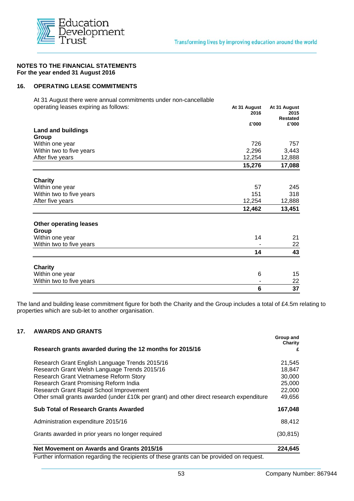

#### **16. OPERATING LEASE COMMITMENTS**

| operating leases expiring as follows: | At 31 August<br>2016 | At 31 August<br>2015     |
|---------------------------------------|----------------------|--------------------------|
|                                       | £'000                | <b>Restated</b><br>£'000 |
| <b>Land and buildings</b>             |                      |                          |
| Group                                 |                      |                          |
| Within one year                       | 726                  | 757                      |
| Within two to five years              | 2,296                | 3,443                    |
| After five years                      | 12,254               | 12,888                   |
|                                       | 15,276               | 17,088                   |
| <b>Charity</b>                        |                      |                          |
| Within one year                       | 57                   | 245                      |
| Within two to five years              | 151                  | 318                      |
| After five years                      | 12,254               | 12,888                   |
|                                       | 12,462               | 13,451                   |
| <b>Other operating leases</b>         |                      |                          |
| Group                                 |                      |                          |
| Within one year                       | 14                   | 21                       |
| Within two to five years              |                      | 22                       |
|                                       | 14                   | 43                       |
| <b>Charity</b>                        |                      |                          |
| Within one year                       | 6                    | 15                       |
| Within two to five years              |                      | 22                       |
|                                       | $6\phantom{1}$       | 37                       |

The land and building lease commitment figure for both the Charity and the Group includes a total of £4.5m relating to properties which are sub-let to another organisation.

## **17. AWARDS AND GRANTS**

|                                                                                          | Group and<br>Charity |
|------------------------------------------------------------------------------------------|----------------------|
| Research grants awarded during the 12 months for 2015/16                                 |                      |
| Research Grant English Language Trends 2015/16                                           | 21,545               |
| Research Grant Welsh Language Trends 2015/16                                             | 18,847               |
| Research Grant Vietnamese Reform Story                                                   | 30,000               |
| Research Grant Promising Reform India                                                    | 25,000               |
| Research Grant Rapid School Improvement                                                  | 22,000               |
| Other small grants awarded (under £10k per grant) and other direct research expenditure  | 49,656               |
| <b>Sub Total of Research Grants Awarded</b>                                              | 167,048              |
| Administration expenditure 2015/16                                                       | 88,412               |
| Grants awarded in prior years no longer required                                         | (30, 815)            |
| Net Movement on Awards and Grants 2015/16                                                | 224,645              |
| Further information regarding the recipients of these grants can be provided on request. |                      |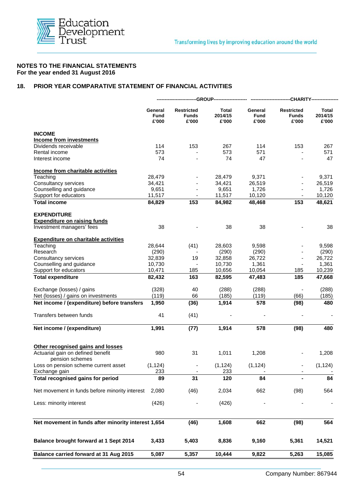

#### **18. PRIOR YEAR COMPARATIVE STATEMENT OF FINANCIAL ACTIVITIES**

|                                                      |                          |                                            | ---------------GROUP--------------------- |                                 | -------------------------CHARITY----------------- |                           |
|------------------------------------------------------|--------------------------|--------------------------------------------|-------------------------------------------|---------------------------------|---------------------------------------------------|---------------------------|
|                                                      | General<br>Fund<br>£'000 | <b>Restricted</b><br><b>Funds</b><br>£'000 | Total<br>2014/15<br>£'000                 | General<br><b>Fund</b><br>£'000 | <b>Restricted</b><br><b>Funds</b><br>£'000        | Total<br>2014/15<br>£'000 |
| <b>INCOME</b>                                        |                          |                                            |                                           |                                 |                                                   |                           |
| <b>Income from investments</b>                       |                          |                                            |                                           |                                 |                                                   |                           |
| Dividends receivable                                 | 114                      | 153                                        | 267                                       | 114                             | 153                                               | 267                       |
| Rental income                                        | 573                      |                                            | 573                                       | 571                             |                                                   | 571                       |
| Interest income                                      | 74                       |                                            | 74                                        | 47                              |                                                   | 47                        |
| Income from charitable activities                    |                          |                                            |                                           |                                 |                                                   |                           |
| Teaching                                             | 28,479                   |                                            | 28,479                                    | 9,371                           |                                                   | 9,371                     |
| <b>Consultancy services</b>                          | 34,421                   |                                            | 34,421                                    | 26,519                          |                                                   | 26,519                    |
| Counselling and guidance                             | 9,651                    |                                            | 9,651                                     | 1,726                           | $\overline{\phantom{0}}$                          | 1,726                     |
| Support for educators                                | 11,517                   |                                            | 11,517                                    | 10,120                          | $\overline{\phantom{a}}$                          | 10,120                    |
| <b>Total income</b>                                  | 84,829                   | 153                                        | 84,982                                    | 48,468                          | 153                                               | 48,621                    |
| <b>EXPENDITURE</b>                                   |                          |                                            |                                           |                                 |                                                   |                           |
| <b>Expenditure on raising funds</b>                  |                          |                                            |                                           |                                 |                                                   |                           |
| Investment managers' fees                            | 38                       |                                            | 38                                        | 38                              |                                                   | 38                        |
| <b>Expenditure on charitable activities</b>          |                          |                                            |                                           |                                 |                                                   |                           |
| Teaching                                             | 28,644                   | (41)                                       | 28,603                                    | 9,598                           |                                                   | 9,598                     |
| Research                                             | (290)                    |                                            | (290)                                     | (290)                           |                                                   | (290)                     |
| <b>Consultancy services</b>                          | 32,839                   | 19                                         | 32,858                                    | 26,722                          | $\overline{\phantom{a}}$                          | 26,722                    |
| Counselling and guidance                             | 10,730                   |                                            | 10,730                                    | 1,361                           | $\overline{\phantom{0}}$                          | 1,361                     |
| Support for educators                                | 10,471                   | 185                                        | 10,656                                    | 10,054                          | 185                                               | 10,239                    |
| <b>Total expenditure</b>                             | 82,432                   | 163                                        | 82,595                                    | 47,483                          | 185                                               | 47,668                    |
| Exchange (losses) / gains                            | (328)                    | 40                                         | (288)                                     | (288)                           |                                                   | (288)                     |
| Net (losses) / gains on investments                  | (119)                    | 66                                         | (185)                                     | (119)                           | (66)                                              | (185)                     |
| Net income / (expenditure) before transfers          | 1,950                    | (36)                                       | 1,914                                     | 578                             | (98)                                              | 480                       |
| Transfers between funds                              | 41                       | (41)                                       |                                           |                                 |                                                   |                           |
| Net income / (expenditure)                           | 1,991                    | (77)                                       | 1,914                                     | 578                             | (98)                                              | 480                       |
|                                                      |                          |                                            |                                           |                                 |                                                   |                           |
| Other recognised gains and losses                    |                          |                                            |                                           |                                 |                                                   |                           |
| Actuarial gain on defined benefit<br>pension schemes | 980                      | 31                                         | 1,011                                     | 1,208                           |                                                   | 1,208                     |
| Loss on pension scheme current asset                 | (1, 124)                 |                                            | (1, 124)                                  | (1, 124)                        |                                                   | (1, 124)                  |
| Exchange gain                                        | 233                      |                                            | 233                                       |                                 |                                                   |                           |
| Total recognised gains for period                    | 89                       | 31                                         | 120                                       | 84                              |                                                   | 84                        |
| Net movement in funds before minority interest       | 2,080                    | (46)                                       | 2,034                                     | 662                             | (98)                                              | 564                       |
|                                                      |                          |                                            |                                           |                                 |                                                   |                           |
| Less: minority interest                              | (426)                    |                                            | (426)                                     |                                 |                                                   |                           |
| Net movement in funds after minority interest 1,654  |                          | (46)                                       | 1,608                                     | 662                             | (98)                                              | 564                       |
| Balance brought forward at 1 Sept 2014               | 3,433                    | 5,403                                      | 8,836                                     | 9,160                           | 5,361                                             | 14,521                    |
| Balance carried forward at 31 Aug 2015               | 5,087                    | 5,357                                      | 10,444                                    | 9,822                           | 5,263                                             | 15,085                    |
|                                                      |                          |                                            |                                           |                                 |                                                   |                           |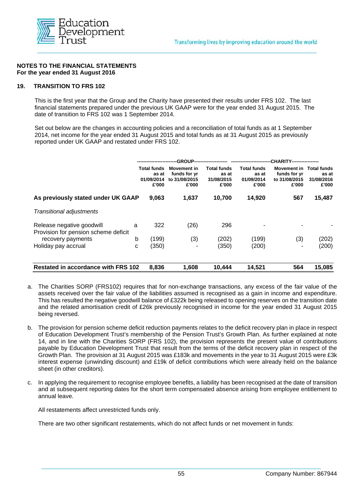

#### **19. TRANSITION TO FRS 102**

This is the first year that the Group and the Charity have presented their results under FRS 102. The last financial statements prepared under the previous UK GAAP were for the year ended 31 August 2015. The date of transition to FRS 102 was 1 September 2014.

Set out below are the changes in accounting policies and a reconciliation of total funds as at 1 September 2014, net income for the year ended 31 August 2015 and total funds as at 31 August 2015 as previously reported under UK GAAP and restated under FRS 102.

|                                                                   |                                             | ----------------------GROUP---------------------      |                                             |                                                    | -CHARITY-----------------                             |                                                    |
|-------------------------------------------------------------------|---------------------------------------------|-------------------------------------------------------|---------------------------------------------|----------------------------------------------------|-------------------------------------------------------|----------------------------------------------------|
|                                                                   | Total funds<br>as at<br>01/09/2014<br>£'000 | Movement in<br>funds for yr<br>to 31/08/2015<br>£'000 | Total funds<br>as at<br>31/08/2015<br>£'000 | <b>Total funds</b><br>as at<br>01/09/2014<br>£'000 | Movement in<br>funds for yr<br>to 31/08/2015<br>£'000 | <b>Total funds</b><br>as at<br>31/08/2016<br>£'000 |
| As previously stated under UK GAAP                                | 9,063                                       | 1,637                                                 | 10,700                                      | 14,920                                             | 567                                                   | 15,487                                             |
| Transitional adjustments                                          |                                             |                                                       |                                             |                                                    |                                                       |                                                    |
| Release negative goodwill<br>Provision for pension scheme deficit | 322<br>a                                    | (26)                                                  | 296                                         |                                                    |                                                       |                                                    |
| recovery payments                                                 | (199)<br>b                                  | (3)                                                   | (202)                                       | (199)                                              | (3)                                                   | (202)                                              |
| Holiday pay accrual                                               | (350)<br>C                                  | ٠                                                     | (350)                                       | (200)                                              |                                                       | (200)                                              |
| <b>Restated in accordance with FRS 102</b>                        | 8,836                                       | 1,608                                                 | 10,444                                      | 14,521                                             | 564                                                   | 15,085                                             |

- a. The Charities SORP (FRS102) requires that for non-exchange transactions, any excess of the fair value of the assets received over the fair value of the liabilities assumed is recognised as a gain in income and expenditure. This has resulted the negative goodwill balance of £322k being released to opening reserves on the transition date and the related amortisation credit of £26k previously recognised in income for the year ended 31 August 2015 being reversed.
- b. The provision for pension scheme deficit reduction payments relates to the deficit recovery plan in place in respect of Education Development Trust's membership of the Pension Trust's Growth Plan. As further explained at note 14, and in line with the Charities SORP (FRS 102), the provision represents the present value of contributions payable by Education Development Trust that result from the terms of the deficit recovery plan in respect of the Growth Plan. The provision at 31 August 2015 was £183k and movements in the year to 31 August 2015 were £3k interest expense (unwinding discount) and £19k of deficit contributions which were already held on the balance sheet (in other creditors).
- c. In applying the requirement to recognise employee benefits, a liability has been recognised at the date of transition and at subsequent reporting dates for the short term compensated absence arising from employee entitlement to annual leave.

All restatements affect unrestricted funds only.

There are two other significant restatements, which do not affect funds or net movement in funds: